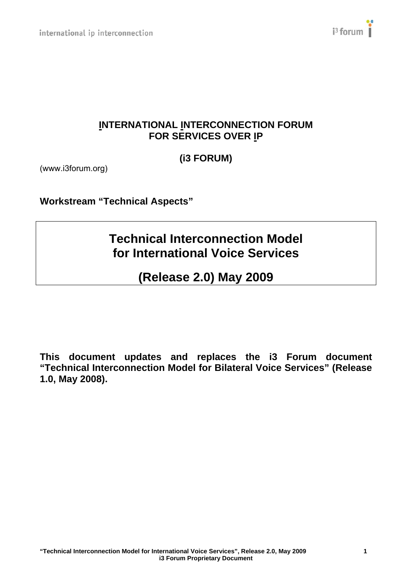

# **INTERNATIONAL INTERCONNECTION FORUM FOR SERVICES OVER IP**

**(i3 FORUM)** 

(www.i3forum.org)

**Workstream "Technical Aspects"** 

# **Technical Interconnection Model for International Voice Services**

# **(Release 2.0) May 2009**

**This document updates and replaces the i3 Forum document "Technical Interconnection Model for Bilateral Voice Services" (Release 1.0, May 2008).**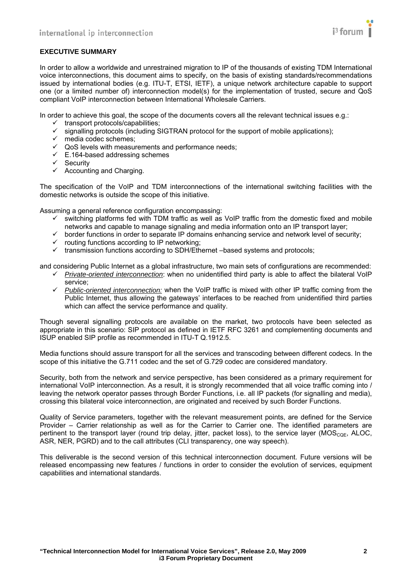

#### **EXECUTIVE SUMMARY**

In order to allow a worldwide and unrestrained migration to IP of the thousands of existing TDM International voice interconnections, this document aims to specify, on the basis of existing standards/recommendations issued by international bodies (e.g. ITU-T, ETSI, IETF), a unique network architecture capable to support one (or a limited number of) interconnection model(s) for the implementation of trusted, secure and QoS compliant VoIP interconnection between International Wholesale Carriers.

In order to achieve this goal, the scope of the documents covers all the relevant technical issues e.g.:

- $\checkmark$  transport protocols/capabilities;
- $\checkmark$  signalling protocols (including SIGTRAN protocol for the support of mobile applications);
- $\checkmark$  media codec schemes;
- $\checkmark$  QoS levels with measurements and performance needs;
- $\checkmark$  E.164-based addressing schemes
- $\checkmark$  Security
- $\checkmark$  Accounting and Charging.

The specification of the VoIP and TDM interconnections of the international switching facilities with the domestic networks is outside the scope of this initiative.

Assuming a general reference configuration encompassing:

- $\checkmark$  switching platforms fed with TDM traffic as well as VoIP traffic from the domestic fixed and mobile networks and capable to manage signaling and media information onto an IP transport layer;
- $\checkmark$  border functions in order to separate IP domains enhancing service and network level of security;
- $\checkmark$  routing functions according to IP networking:
- $\checkmark$  transmission functions according to SDH/Ethernet –based systems and protocols;

and considering Public Internet as a global infrastructure, two main sets of configurations are recommended:

- 9 *Private-oriented interconnection*: when no unidentified third party is able to affect the bilateral VoIP service;
- $\checkmark$  *Public-oriented interconnection:* when the VoIP traffic is mixed with other IP traffic coming from the Public Internet, thus allowing the gateways' interfaces to be reached from unidentified third parties which can affect the service performance and quality.

Though several signalling protocols are available on the market, two protocols have been selected as appropriate in this scenario: SIP protocol as defined in IETF RFC 3261 and complementing documents and ISUP enabled SIP profile as recommended in ITU-T Q.1912.5.

Media functions should assure transport for all the services and transcoding between different codecs. In the scope of this initiative the G.711 codec and the set of G.729 codec are considered mandatory.

Security, both from the network and service perspective, has been considered as a primary requirement for international VoIP interconnection. As a result, it is strongly recommended that all voice traffic coming into / leaving the network operator passes through Border Functions, i.e. all IP packets (for signalling and media), crossing this bilateral voice interconnection, are originated and received by such Border Functions.

Quality of Service parameters, together with the relevant measurement points, are defined for the Service Provider – Carrier relationship as well as for the Carrier to Carrier one. The identified parameters are pertinent to the transport layer (round trip delay, jitter, packet loss), to the service layer (MOS<sub>CQE</sub>, ALOC, ASR, NER, PGRD) and to the call attributes (CLI transparency, one way speech).

This deliverable is the second version of this technical interconnection document. Future versions will be released encompassing new features / functions in order to consider the evolution of services, equipment capabilities and international standards.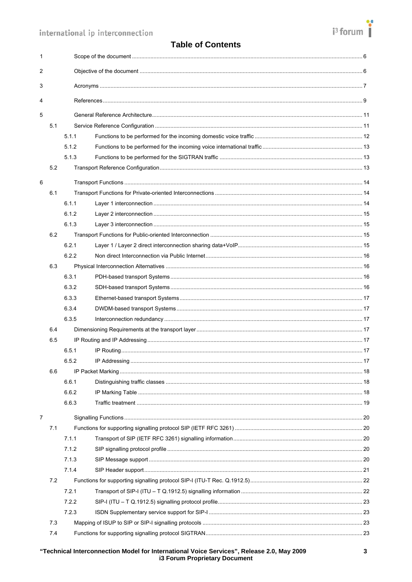# $i^3$  forum

# **Table of Contents**

| $\mathbf{1}$ |     |       |  |  |
|--------------|-----|-------|--|--|
| 2            |     |       |  |  |
| 3            |     |       |  |  |
| 4            |     |       |  |  |
| 5            |     |       |  |  |
|              | 5.1 |       |  |  |
|              |     | 5.1.1 |  |  |
|              |     | 5.1.2 |  |  |
|              |     | 5.1.3 |  |  |
|              | 5.2 |       |  |  |
| 6            |     |       |  |  |
|              | 6.1 |       |  |  |
|              |     | 6.1.1 |  |  |
|              |     | 6.1.2 |  |  |
|              |     | 6.1.3 |  |  |
|              | 6.2 |       |  |  |
|              |     | 6.2.1 |  |  |
|              |     | 6.2.2 |  |  |
|              | 6.3 |       |  |  |
|              |     | 6.3.1 |  |  |
|              |     | 6.3.2 |  |  |
|              |     | 6.3.3 |  |  |
|              |     | 6.3.4 |  |  |
|              |     | 6.3.5 |  |  |
|              | 6.4 |       |  |  |
|              | 6.5 |       |  |  |
|              |     | 6.5.1 |  |  |
|              |     | 6.5.2 |  |  |
|              | 6.6 |       |  |  |
|              |     | 6.6.1 |  |  |
|              |     | 6.6.2 |  |  |
|              |     | 6.6.3 |  |  |
| 7            |     |       |  |  |
|              | 7.1 |       |  |  |
|              |     | 7.1.1 |  |  |
|              |     | 7.1.2 |  |  |
|              |     | 7.1.3 |  |  |
|              |     | 7.1.4 |  |  |
|              | 7.2 |       |  |  |
|              |     | 7.2.1 |  |  |
|              |     | 7.2.2 |  |  |
|              |     | 7.2.3 |  |  |
|              | 7.3 |       |  |  |
|              | 7.4 |       |  |  |
|              |     |       |  |  |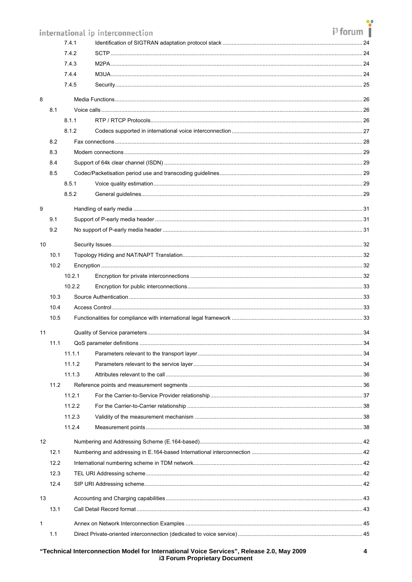|              |      |        |                                  | i <sup>3</sup> forum |
|--------------|------|--------|----------------------------------|----------------------|
|              |      |        | international ip interconnection |                      |
| 7.4.1        |      |        |                                  |                      |
| 7.4.2        |      | 7.4.3  |                                  |                      |
| 7.4.4        |      |        |                                  |                      |
|              |      | 7.4.5  |                                  |                      |
|              |      |        |                                  |                      |
| 8            |      |        |                                  |                      |
|              | 8.1  |        |                                  |                      |
|              |      | 8.1.1  |                                  |                      |
|              | 8.2  | 8.1.2  |                                  |                      |
|              | 8.3  |        |                                  |                      |
|              | 8.4  |        |                                  |                      |
|              | 8.5  |        |                                  |                      |
|              |      | 8.5.1  |                                  |                      |
|              |      | 8.5.2  |                                  |                      |
|              |      |        |                                  |                      |
| 9            |      |        |                                  |                      |
|              | 9.1  |        |                                  |                      |
|              | 9.2  |        |                                  |                      |
| 10           |      |        |                                  |                      |
|              | 10.1 |        |                                  |                      |
|              | 10.2 |        |                                  |                      |
|              |      | 10.2.1 |                                  |                      |
|              |      | 10.2.2 |                                  |                      |
|              | 10.3 |        |                                  |                      |
|              | 10.4 |        |                                  |                      |
|              | 10.5 |        |                                  |                      |
| 11           |      |        |                                  |                      |
|              | 11.1 |        |                                  |                      |
|              |      | 11.1.1 |                                  |                      |
|              |      | 11.1.2 |                                  |                      |
|              |      | 11.1.3 |                                  |                      |
|              | 11.2 |        |                                  |                      |
|              |      | 11.2.1 |                                  |                      |
|              |      | 11.2.2 |                                  |                      |
|              |      | 11.2.3 |                                  |                      |
|              |      | 11.2.4 |                                  |                      |
| 12           |      |        |                                  |                      |
|              | 12.1 |        |                                  |                      |
|              | 12.2 |        |                                  |                      |
|              | 12.3 |        |                                  |                      |
|              | 12.4 |        |                                  |                      |
| 13           |      |        |                                  |                      |
| 13.1         |      |        |                                  |                      |
| $\mathbf{1}$ |      |        |                                  |                      |
|              | 1.1  |        |                                  |                      |
|              |      |        |                                  |                      |

# "Technical Interconnection Model for International Voice Services", Release 2.0, May 2009<br>i3 Forum Proprietary Document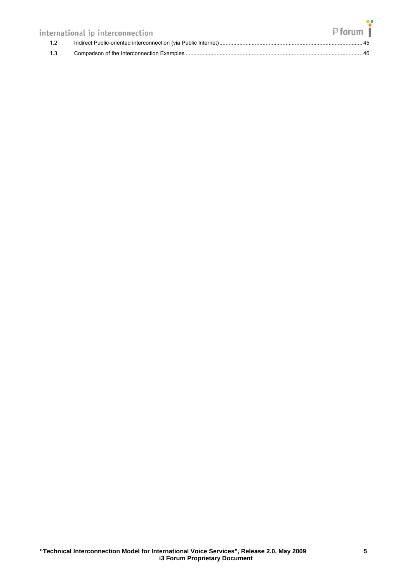|     | international ip interconnection | $i3$ forum $\parallel$ |  |
|-----|----------------------------------|------------------------|--|
| 1.2 |                                  |                        |  |
| 1.3 |                                  |                        |  |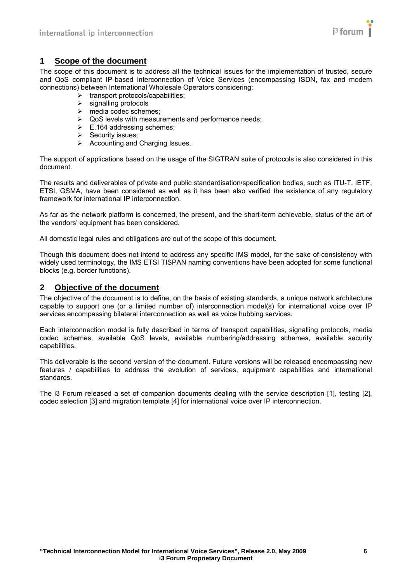

# <span id="page-5-1"></span><span id="page-5-0"></span>**1 Scope of the document**

The scope of this document is to address all the technical issues for the implementation of trusted, secure and QoS compliant IP-based interconnection of Voice Services (encompassing ISDN**,** fax and modem connections) between International Wholesale Operators considering:

- $\triangleright$  transport protocols/capabilities:
- $\triangleright$  signalling protocols
- $\triangleright$  media codec schemes:
- $\triangleright$  QoS levels with measurements and performance needs;
- $\triangleright$  E.164 addressing schemes;
- ¾ Security issues;
- $\triangleright$  Accounting and Charging Issues.

The support of applications based on the usage of the SIGTRAN suite of protocols is also considered in this document.

The results and deliverables of private and public standardisation/specification bodies, such as ITU-T, IETF, ETSI, GSMA, have been considered as well as it has been also verified the existence of any regulatory framework for international IP interconnection.

As far as the network platform is concerned, the present, and the short-term achievable, status of the art of the vendors' equipment has been considered.

All domestic legal rules and obligations are out of the scope of this document.

Though this document does not intend to address any specific IMS model, for the sake of consistency with widely used terminology, the IMS ETSI TISPAN naming conventions have been adopted for some functional blocks (e.g. border functions).

#### <span id="page-5-2"></span>**2 Objective of the document**

The objective of the document is to define, on the basis of existing standards, a unique network architecture capable to support one (or a limited number of) interconnection model(s) for international voice over IP services encompassing bilateral interconnection as well as voice hubbing services.

Each interconnection model is fully described in terms of transport capabilities, signalling protocols, media codec schemes, available QoS levels, available numbering/addressing schemes, available security capabilities.

This deliverable is the second version of the document. Future versions will be released encompassing new features / capabilities to address the evolution of services, equipment capabilities and international standards.

The i3 Forum released a set of companion documents dealing with the service description [\[1\],](#page-8-2) testing [\[2\],](#page-8-3) codec selection [\[3\]](#page-8-4) and migration template [\[4\]](#page-8-5) for international voice over IP interconnection.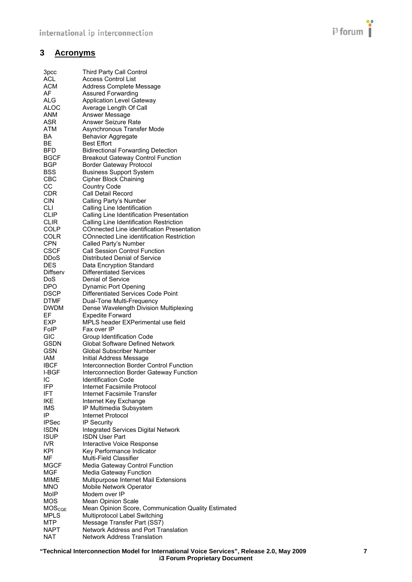

# <span id="page-6-1"></span><span id="page-6-0"></span>**3 Acronyms**

| 3 <sub>pcc</sub>   | <b>Third Party Call Control</b>                            |
|--------------------|------------------------------------------------------------|
| ACL                | <b>Access Control List</b>                                 |
| ACM                | Address Complete Message                                   |
| AF                 | <b>Assured Forwarding</b>                                  |
| ALG                | <b>Application Level Gateway</b>                           |
| <b>ALOC</b>        | Average Length Of Call                                     |
| ANM                | Answer Message                                             |
| ASR                | Answer Seizure Rate                                        |
| ATM                | Asynchronous Transfer Mode                                 |
| BA                 | <b>Behavior Aggregate</b>                                  |
| BЕ                 | <b>Best Effort</b>                                         |
| BFD                | <b>Bidirectional Forwarding Detection</b>                  |
| <b>BGCF</b>        | <b>Breakout Gateway Control Function</b>                   |
| <b>BGP</b>         | <b>Border Gateway Protocol</b>                             |
| <b>BSS</b><br>CBC  | <b>Business Support System</b>                             |
| СC                 | <b>Cipher Block Chaining</b>                               |
| CDR                | <b>Country Code</b><br>Call Detail Record                  |
| <b>CIN</b>         | Calling Party's Number                                     |
| CLI                | Calling Line Identification                                |
| <b>CLIP</b>        | Calling Line Identification Presentation                   |
| <b>CLIR</b>        | Calling Line Identification Restriction                    |
| <b>COLP</b>        | COnnected Line identification Presentation                 |
| COLR               | <b>COnnected Line identification Restriction</b>           |
| <b>CPN</b>         | Called Party's Number                                      |
| <b>CSCF</b>        | <b>Call Session Control Function</b>                       |
| <b>DDoS</b>        | Distributed Denial of Service                              |
| <b>DES</b>         | Data Encryption Standard                                   |
| Diffserv           | <b>Differentiated Services</b>                             |
| DoS                | Denial of Service                                          |
| <b>DPO</b>         | Dynamic Port Opening                                       |
| <b>DSCP</b>        | Differentiated Services Code Point                         |
| <b>DTMF</b>        | Dual-Tone Multi-Frequency                                  |
| <b>DWDM</b>        | Dense Wavelength Division Multiplexing                     |
| EF                 | <b>Expedite Forward</b>                                    |
| EXP                | MPLS header EXPerimental use field                         |
| FolP               | Fax over IP                                                |
| <b>GIC</b>         | Group Identification Code                                  |
| <b>GSDN</b>        | <b>Global Software Defined Network</b>                     |
| <b>GSN</b>         | Global Subscriber Number                                   |
| IAM                | Initial Address Message                                    |
| <b>IBCF</b>        | Interconnection Border Control Function                    |
| I-BGF              | Interconnection Border Gateway Function                    |
| IC                 | <b>Identification Code</b>                                 |
| IFP<br>IFT         | Internet Facsimile Protocol<br>Internet Facsimile Transfer |
| <b>IKE</b>         | Internet Key Exchange                                      |
| IMS                | IP Multimedia Subsystem                                    |
| IP                 | Internet Protocol                                          |
| <b>IPSec</b>       | IP Security                                                |
| <b>ISDN</b>        | <b>Integrated Services Digital Network</b>                 |
| <b>ISUP</b>        | <b>ISDN User Part</b>                                      |
| <b>IVR</b>         | Interactive Voice Response                                 |
| KPI                | Key Performance Indicator                                  |
| ΜF                 | Multi-Field Classifier                                     |
| <b>MGCF</b>        | Media Gateway Control Function                             |
| <b>MGF</b>         | Media Gateway Function                                     |
| MIME               | Multipurpose Internet Mail Extensions                      |
| <b>MNO</b>         | Mobile Network Operator                                    |
| MoIP               | Modem over IP                                              |
| <b>MOS</b>         | Mean Opinion Scale                                         |
| MOS <sub>CQE</sub> | Mean Opinion Score, Communication Quality Estimated        |
| <b>MPLS</b>        | Multiprotocol Label Switching                              |
| <b>MTP</b>         | Message Transfer Part (SS7)                                |
| <b>NAPT</b>        | Network Address and Port Translation                       |
| <b>NAT</b>         | <b>Network Address Translation</b>                         |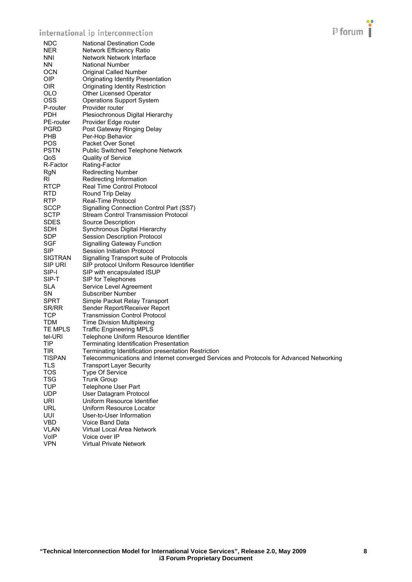# international ip interconnection



| <b>NDC</b>     | National Destination Code                                                                |
|----------------|------------------------------------------------------------------------------------------|
| <b>NER</b>     | <b>Network Efficiency Ratio</b>                                                          |
| <b>NNI</b>     | Network Network Interface                                                                |
| NN.            | <b>National Number</b>                                                                   |
| <b>OCN</b>     | Original Called Number                                                                   |
| OIP.           | Originating Identity Presentation                                                        |
| <b>OIR</b>     | Originating Identity Restriction                                                         |
| <b>OLO</b>     | Other Licensed Operator                                                                  |
| <b>OSS</b>     | <b>Operations Support System</b>                                                         |
| P-router       | Provider router                                                                          |
| <b>PDH</b>     | Plesiochronous Digital Hierarchy                                                         |
| PE-router      | Provider Edge router                                                                     |
| <b>PGRD</b>    | Post Gateway Ringing Delay                                                               |
| <b>PHB</b>     | Per-Hop Behavior                                                                         |
| <b>POS</b>     | Packet Over Sonet                                                                        |
| <b>PSTN</b>    | <b>Public Switched Telephone Network</b>                                                 |
| QoS            | <b>Quality of Service</b>                                                                |
| R-Factor       |                                                                                          |
|                | Rating-Factor                                                                            |
| RgN<br>RI      | <b>Redirecting Number</b>                                                                |
|                | Redirecting Information                                                                  |
| <b>RTCP</b>    | Real Time Control Protocol                                                               |
| <b>RTD</b>     | Round Trip Delay                                                                         |
| <b>RTP</b>     | Real-Time Protocol                                                                       |
| <b>SCCP</b>    | <b>Signalling Connection Control Part (SS7)</b>                                          |
| <b>SCTP</b>    | <b>Stream Control Transmission Protocol</b>                                              |
| <b>SDES</b>    | Source Description                                                                       |
| <b>SDH</b>     | Synchronous Digital Hierarchy                                                            |
| <b>SDP</b>     | <b>Session Description Protocol</b>                                                      |
| SGF            | <b>Signalling Gateway Function</b>                                                       |
| <b>SIP</b>     | Session Initiation Protocol                                                              |
| <b>SIGTRAN</b> | Signalling Transport suite of Protocols                                                  |
| <b>SIP URI</b> | SIP protocol Uniform Resource Identifier                                                 |
| SIP-I          | SIP with encapsulated ISUP                                                               |
| SIP-T          | SIP for Telephones                                                                       |
| <b>SLA</b>     | Service Level Agreement                                                                  |
| SN             | Subscriber Number                                                                        |
| <b>SPRT</b>    | Simple Packet Relay Transport                                                            |
| SR/RR          | Sender Report/Receiver Report                                                            |
| <b>TCP</b>     | <b>Transmission Control Protocol</b>                                                     |
| <b>TDM</b>     | <b>Time Division Multiplexing</b>                                                        |
| TE MPLS        | <b>Traffic Engineering MPLS</b>                                                          |
| tel-URI        | Telephone Uniform Resource Identifier                                                    |
| TIP            | Terminating Identification Presentation                                                  |
| <b>TIR</b>     | Terminating Identification presentation Restriction                                      |
| <b>TISPAN</b>  | Telecommunications and Internet converged Services and Protocols for Advanced Networking |
| TLS            | <b>Transport Layer Security</b>                                                          |
| <b>TOS</b>     | Type Of Service                                                                          |
| <b>TSG</b>     | <b>Trunk Group</b>                                                                       |
| <b>TUP</b>     | Telephone User Part                                                                      |
| <b>UDP</b>     | User Datagram Protocol                                                                   |
| <b>URI</b>     | Uniform Resource Identifier                                                              |
| <b>URL</b>     | Uniform Resource Locator                                                                 |
| UUI            | User-to-User Information                                                                 |
| <b>VBD</b>     | Voice Band Data                                                                          |
| <b>VLAN</b>    | Virtual Local Area Network                                                               |
| VoIP           | Voice over IP                                                                            |
| <b>VPN</b>     | <b>Virtual Private Network</b>                                                           |
|                |                                                                                          |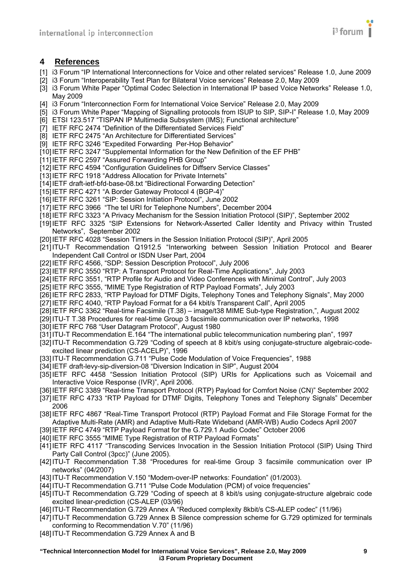

### <span id="page-8-1"></span><span id="page-8-0"></span>**4 References**

- <span id="page-8-2"></span>[1] i3 Forum "IP International Interconnections for Voice and other related services" Release 1.0, June 2009
- [2] i3 Forum "Interoperability Test Plan for Bilateral Voice services" Release 2.0, May 2009
- <span id="page-8-4"></span><span id="page-8-3"></span>[3] i3 Forum White Paper "Optimal Codec Selection in International IP based Voice Networks" Release 1.0, May 2009
- <span id="page-8-5"></span>[4] i3 Forum "Interconnection Form for International Voice Service" Release 2.0, May 2009
- <span id="page-8-22"></span>[5] i3 Forum White Paper "Mapping of Signalling protocols from ISUP to SIP, SIP-I" Release 1.0, May 2009
- <span id="page-8-6"></span>[6] ETSI 123.517 "TISPAN IP Multimedia Subsystem (IMS); Functional architecture"
- <span id="page-8-14"></span>[7] IETF RFC 2474 "Definition of the Differentiated Services Field"
- <span id="page-8-10"></span>[8] IETF RFC 2475 "An Architecture for Differentiated Services"
- <span id="page-8-11"></span>[9] IETF RFC 3246 "Expedited Forwarding Per-Hop Behavior"
- <span id="page-8-12"></span>[10] IETF RFC 3247 "Supplemental Information for the New Definition of the EF PHB"
- <span id="page-8-13"></span>[11] IETF RFC 2597 "Assured Forwarding PHB Group"
- [12] IETF RFC 4594 "Configuration Guidelines for Diffserv Service Classes"
- <span id="page-8-9"></span>[13] IETF RFC 1918 "Address Allocation for Private Internets"
- <span id="page-8-8"></span>[14] IETF draft-ietf-bfd-base-08.txt "Bidirectional Forwarding Detection"
- <span id="page-8-7"></span>[15] IETF RFC 4271 "A Border Gateway Protocol 4 (BGP-4)"
- <span id="page-8-16"></span>[16] IETF RFC 3261 "SIP: Session Initiation Protocol", June 2002
- <span id="page-8-33"></span>[17] IETF RFC 3966 "The tel URI for Telephone Numbers", December 2004
- <span id="page-8-19"></span>[18] IETF RFC 3323 "A Privacy Mechanism for the Session Initiation Protocol (SIP)", September 2002
- <span id="page-8-18"></span>[19] IETF RFC 3325 "SIP Extensions for Network-Asserted Caller Identity and Privacy within Trusted Networks", September 2002
- <span id="page-8-17"></span>[20] IETF RFC 4028 "Session Timers in the Session Initiation Protocol (SIP)", April 2005
- <span id="page-8-21"></span>[21] ITU-T Recommendation Q1912.5 "Interworking between Session Initiation Protocol and Bearer Independent Call Control or ISDN User Part, 2004
- [22] IETF RFC 4566, "SDP: Session Description Protocol", July 2006
- <span id="page-8-23"></span>[23] IETF RFC 3550 "RTP: A Transport Protocol for Real-Time Applications", July 2003
- <span id="page-8-24"></span>[24] IETF RFC 3551, "RTP Profile for Audio and Video Conferences with Minimal Control", July 2003
- <span id="page-8-27"></span>[25] IETF RFC 3555, "MIME Type Registration of RTP Payload Formats", July 2003
- <span id="page-8-26"></span>[26] IETF RFC 2833, "RTP Payload for DTMF Digits, Telephony Tones and Telephony Signals", May 2000
- <span id="page-8-31"></span>[27] IETF RFC 4040, "RTP Payload Format for a 64 kbit/s Transparent Call", April 2005
- [28] IETF RFC 3362 "Real-time Facsimile (T.38) image/t38 MIME Sub-type Registration,", August 2002
- [29] ITU-T T.38 Procedures for real-time Group 3 facsimile communication over IP networks, 1998
- <span id="page-8-15"></span>[30] IETF RFC 768 "User Datagram Protocol", August 1980
- <span id="page-8-32"></span>[31] ITU-T Recommendation E.164 "The international public telecommunication numbering plan", 1997
- [32] ITU-T Recommendation G.729 "Coding of speech at 8 kbit/s using conjugate-structure algebraic-codeexcited linear prediction (CS-ACELP)", 1996
- [33] ITU-T Recommendation G.711 "Pulse Code Modulation of Voice Frequencies", 1988
- <span id="page-8-20"></span>[34] IETF draft-levy-sip-diversion-08 "Diversion Indication in SIP", August 2004
- [35] IETF RFC 4458 "Session Initiation Protocol (SIP) URIs for Applications such as Voicemail and Interactive Voice Response (IVR)", April 2006.
- <span id="page-8-25"></span>[36] IETF RFC 3389 "Real-time Transport Protocol (RTP) Payload for Comfort Noise (CN)" September 2002
- [37] IETF RFC 4733 "RTP Payload for DTMF Digits, Telephony Tones and Telephony Signals" December 2006
- <span id="page-8-28"></span>[38] IETF RFC 4867 "Real-Time Transport Protocol (RTP) Payload Format and File Storage Format for the Adaptive Multi-Rate (AMR) and Adaptive Multi-Rate Wideband (AMR-WB) Audio Codecs April 2007
- [39] IETF RFC 4749 "RTP Payload Format for the G.729.1 Audio Codec" October 2006
- [40] IETF RFC 3555 "MIME Type Registration of RTP Payload Formats"
- [41] IETF RFC 4117 "Transcoding Services Invocation in the Session Initiation Protocol (SIP) Using Third Party Call Control (3pcc)" (June 2005).
- <span id="page-8-30"></span>[42] ITU-T Recommendation T.38 "Procedures for real-time Group 3 facsimile communication over IP networks" (04/2007)
- <span id="page-8-29"></span>[43] ITU-T Recommendation V.150 "Modem-over-IP networks: Foundation" (01/2003).
- [44] ITU-T Recommendation G.711 "Pulse Code Modulation (PCM) of voice frequencies"
- [45] ITU-T Recommendation G.729 "Coding of speech at 8 kbit/s using conjugate-structure algebraic code excited linear-prediction (CS-ALEP (03/96)
- [46] ITU-T Recommendation G.729 Annex A "Reduced complexity 8kbit/s CS-ALEP codec" (11/96)
- [47] ITU-T Recommendation G.729 Annex B Silence compression scheme for G.729 optimized for terminals conforming to Recommendation V.70" (11/96)
- [48] ITU-T Recommendation G.729 Annex A and B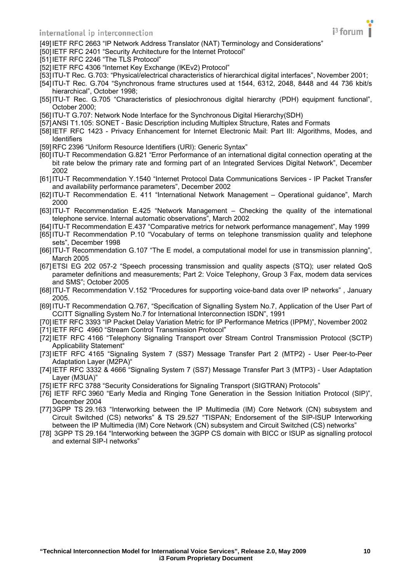#### international ip interconnection



<span id="page-9-15"></span>[49] IETF RFC 2663 "IP Network Address Translator (NAT) Terminology and Considerations"

<span id="page-9-16"></span>[50] IETF RFC 2401 "Security Architecture for the Internet Protocol"

- <span id="page-9-17"></span>[51] IETF RFC 2246 "The TLS Protocol"
- <span id="page-9-18"></span>[52] IETF RFC 4306 "Internet Key Exchange (IKEv2) Protocol"
- <span id="page-9-0"></span>[53] ITU-T Rec. G.703: "Physical/electrical characteristics of hierarchical digital interfaces", November 2001;
- <span id="page-9-1"></span>[54] ITU-T Rec. G.704 "Synchronous frame structures used at 1544, 6312, 2048, 8448 and 44 736 kbit/s hierarchical", October 1998;
- <span id="page-9-2"></span>[55] ITU-T Rec. G.705 "Characteristics of plesiochronous digital hierarchy (PDH) equipment functional", October 2000;
- <span id="page-9-3"></span>[56] ITU-T G.707: Network Node Interface for the Synchronous Digital Hierarchy(SDH)
- <span id="page-9-4"></span>[57] ANSI T1.105: SONET - Basic Description including Multiplex Structure, Rates and Formats
- <span id="page-9-11"></span>[58] IETF RFC 1423 - Privacy Enhancement for Internet Electronic Mail: Part III: Algorithms, Modes, and Identifiers
- <span id="page-9-27"></span>[59] RFC 2396 "Uniform Resource Identifiers (URI): Generic Syntax"
- [60] ITU-T Recommendation G.821 "Error Performance of an international digital connection operating at the bit rate below the primary rate and forming part of an Integrated Services Digital Network", December 2002
- <span id="page-9-20"></span>[61] ITU-T Recommendation Y.1540 "Internet Protocol Data Communications Services - IP Packet Transfer and availability performance parameters", December 2002
- <span id="page-9-25"></span>[62] ITU-T Recommendation E. 411 "International Network Management – Operational guidance", March 2000
- <span id="page-9-26"></span>[63] ITU-T Recommendation E.425 "Network Management – Checking the quality of the international telephone service. Internal automatic observations", March 2002
- <span id="page-9-24"></span>[64] ITU-T Recommendation E.437 "Comparative metrics for network performance management", May 1999
- <span id="page-9-22"></span>[65] ITU-T Recommendation P.10 "Vocabulary of terms on telephone transmission quality and telephone sets", December 1998
- <span id="page-9-23"></span>[66] ITU-T Recommendation G.107 "The E model, a computational model for use in transmission planning", March 2005
- <span id="page-9-19"></span>[67] ETSI EG 202 057-2 "Speech processing transmission and quality aspects (STQ); user related QoS parameter definitions and measurements; Part 2: Voice Telephony, Group 3 Fax, modem data services and SMS"; October 2005
- [68] ITU-T Recommendation V.152 "Procedures for supporting voice-band data over IP networks" , January 2005.
- <span id="page-9-5"></span>[69] ITU-T Recommendation Q.767, "Specification of Signalling System No.7, Application of the User Part of CCITT Signalling System No.7 for International Interconnection ISDN", 1991
- <span id="page-9-21"></span>[70] IETF RFC 3393 "IP Packet Delay Variation Metric for IP Performance Metrics (IPPM)", November 2002
- <span id="page-9-6"></span>[71] IETF RFC 4960 "Stream Control Transmission Protocol"
- <span id="page-9-7"></span>[72] IETF RFC 4166 "Telephony Signaling Transport over Stream Control Transmission Protocol (SCTP) Applicability Statement"
- <span id="page-9-8"></span>[73] IETF RFC 4165 "Signaling System 7 (SS7) Message Transfer Part 2 (MTP2) - User Peer-to-Peer Adaptation Layer (M2PA)"
- <span id="page-9-9"></span>[74] IETF RFC 3332 & 4666 "Signaling System 7 (SS7) Message Transfer Part 3 (MTP3) - User Adaptation Layer (M3UA)"
- <span id="page-9-10"></span>[75] IETF RFC 3788 "Security Considerations for Signaling Transport (SIGTRAN) Protocols"
- <span id="page-9-12"></span>[76] IETF RFC 3960 "Early Media and Ringing Tone Generation in the Session Initiation Protocol (SIP)", December 2004
- <span id="page-9-13"></span>[77] 3GPP TS 29.163 "Interworking between the IP Multimedia (IM) Core Network (CN) subsystem and Circuit Switched (CS) networks" & TS 29.527 "TISPAN; Endorsement of the SIP-ISUP Interworking between the IP Multimedia (IM) Core Network (CN) subsystem and Circuit Switched (CS) networks"
- <span id="page-9-14"></span>[78] 3GPP TS 29.164 "Interworking between the 3GPP CS domain with BICC or ISUP as signalling protocol and external SIP-I networks"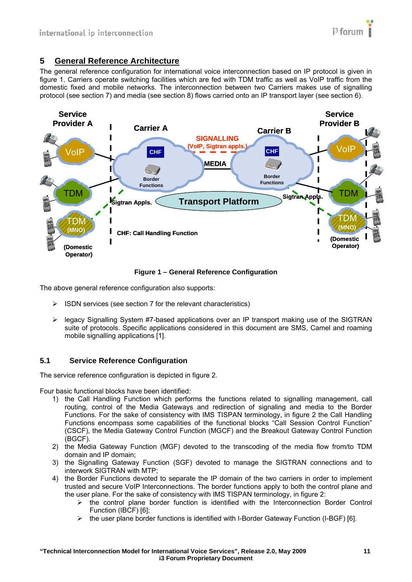# <span id="page-10-1"></span><span id="page-10-0"></span>**5 General Reference Architecture**

The general reference configuration for international voice interconnection based on IP protocol is given in figure 1. Carriers operate switching facilities which are fed with TDM traffic as well as VoIP traffic from the domestic fixed and mobile networks. The interconnection between two Carriers makes use of signalling protocol (see section 7) and media (see section 8) flows carried onto an IP transport layer (see section 6).



**Figure 1 – General Reference Configuration** 

The above general reference configuration also supports:

- $\triangleright$  ISDN services (see section 7 for the relevant characteristics)
- $\triangleright$  legacy Signalling System #7-based applications over an IP transport making use of the SIGTRAN suite of protocols. Specific applications considered in this document are SMS, Camel and roaming mobile signalling applications [\[1\].](#page-8-2)

#### <span id="page-10-2"></span>**5.1 Service Reference Configuration**

The service reference configuration is depicted in figure 2.

Four basic functional blocks have been identified:

- 1) the Call Handling Function which performs the functions related to signalling management, call routing, control of the Media Gateways and redirection of signaling and media to the Border Functions. For the sake of consistency with IMS TISPAN terminology, in figure 2 the Call Handling Functions encompass some capabilities of the functional blocks "Call Session Control Function" (CSCF), the Media Gateway Control Function (MGCF) and the Breakout Gateway Control Function (BGCF).
- 2) the Media Gateway Function (MGF) devoted to the transcoding of the media flow from/to TDM domain and IP domain;
- 3) the Signalling Gateway Function (SGF) devoted to manage the SIGTRAN connections and to interwork SIGTRAN with MTP;
- 4) the Border Functions devoted to separate the IP domain of the two carriers in order to implement trusted and secure VoIP Interconnections. The border functions apply to both the control plane and the user plane. For the sake of consistency with IMS TISPAN terminology, in figure 2:
	- $\triangleright$  the control plane border function is identified with the Interconnection Border Control Function (IBCF) [\[6\];](#page-8-6)
	- $\triangleright$  the user plane border functions is identified with I-Border Gateway Function (I-BGF) [\[6\]](#page-8-6).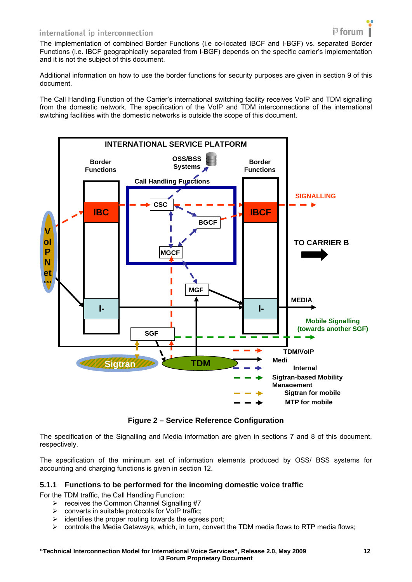#### <span id="page-11-0"></span>international ip interconnection

The implementation of combined Border Functions (i.e co-located IBCF and I-BGF) vs. separated Border Functions (i.e. IBCF geographically separated from I-BGF) depends on the specific carrier's implementation and it is not the subject of this document.

Additional information on how to use the border functions for security purposes are given in section 9 of this document.

The Call Handling Function of the Carrier's international switching facility receives VoIP and TDM signalling from the domestic network. The specification of the VoIP and TDM interconnections of the international switching facilities with the domestic networks is outside the scope of this document.



**Figure 2 – Service Reference Configuration** 

The specification of the Signalling and Media information are given in sections 7 and 8 of this document, respectively.

The specification of the minimum set of information elements produced by OSS/ BSS systems for accounting and charging functions is given in section 12.

#### <span id="page-11-1"></span>**5.1.1 Functions to be performed for the incoming domestic voice traffic**

For the TDM traffic, the Call Handling Function:

- $\triangleright$  receives the Common Channel Signalling #7
- $\triangleright$  converts in suitable protocols for VoIP traffic:
- $\triangleright$  identifies the proper routing towards the egress port;
- $\triangleright$  controls the Media Getaways, which, in turn, convert the TDM media flows to RTP media flows;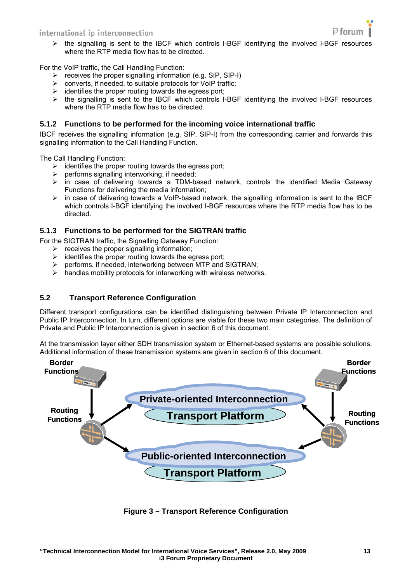

<span id="page-12-0"></span> $\triangleright$  the signalling is sent to the IBCF which controls I-BGF identifying the involved I-BGF resources where the RTP media flow has to be directed.

For the VoIP traffic, the Call Handling Function:

- $\triangleright$  receives the proper signalling information (e.g. SIP, SIP-I)
- $\triangleright$  converts, if needed, to suitable protocols for VoIP traffic;
- $\triangleright$  identifies the proper routing towards the egress port;
- $\triangleright$  the signalling is sent to the IBCF which controls I-BGF identifying the involved I-BGF resources where the RTP media flow has to be directed.

#### <span id="page-12-1"></span>**5.1.2 Functions to be performed for the incoming voice international traffic**

IBCF receives the signalling information (e.g. SIP, SIP-I) from the corresponding carrier and forwards this signalling information to the Call Handling Function.

The Call Handling Function:

- $\triangleright$  identifies the proper routing towards the egress port;
- $\triangleright$  performs signalling interworking, if needed;<br> $\triangleright$  in case of delivering towards a TDM-ba
- ¾ in case of delivering towards a TDM-based network, controls the identified Media Gateway Functions for delivering the media information;
- $\triangleright$  in case of delivering towards a VoIP-based network, the signalling information is sent to the IBCF which controls I-BGF identifying the involved I-BGF resources where the RTP media flow has to be directed.

#### <span id="page-12-2"></span>**5.1.3 Functions to be performed for the SIGTRAN traffic**

- For the SIGTRAN traffic, the Signalling Gateway Function:
	- $\triangleright$  receives the proper signalling information;
	- $\triangleright$  identifies the proper routing towards the egress port;
	- ¾ performs, if needed, interworking between MTP and SIGTRAN;
	- $\triangleright$  handles mobility protocols for interworking with wireless networks.

#### <span id="page-12-3"></span>**5.2 Transport Reference Configuration**

Different transport configurations can be identified distinguishing between Private IP Interconnection and Public IP Interconnection. In turn, different options are viable for these two main categories. The definition of Private and Public IP Interconnection is given in section 6 of this document.

At the transmission layer either SDH transmission system or Ethernet-based systems are possible solutions. Additional information of these transmission systems are given in section 6 of this document.



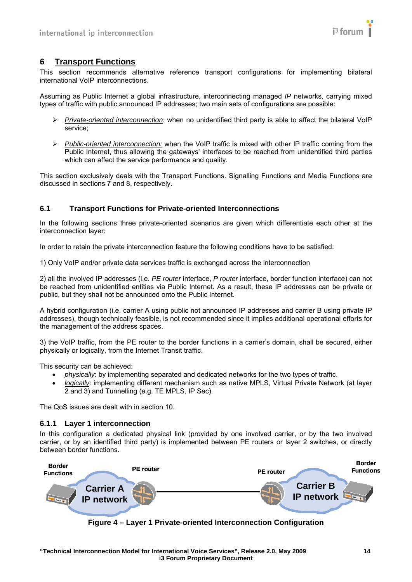

# <span id="page-13-1"></span><span id="page-13-0"></span>**6 Transport Functions**

This section recommends alternative reference transport configurations for implementing bilateral international VoIP interconnections.

Assuming as Public Internet a global infrastructure, interconnecting managed *IP* networks, carrying mixed types of traffic with public announced IP addresses; two main sets of configurations are possible:

- ¾ *Private-oriented interconnection*: when no unidentified third party is able to affect the bilateral VoIP service;
- ¾ *Public-oriented interconnection:* when the VoIP traffic is mixed with other IP traffic coming from the Public Internet, thus allowing the gateways' interfaces to be reached from unidentified third parties which can affect the service performance and quality.

This section exclusively deals with the Transport Functions. Signalling Functions and Media Functions are discussed in sections 7 and 8, respectively.

#### <span id="page-13-2"></span>**6.1 Transport Functions for Private-oriented Interconnections**

In the following sections three private-oriented scenarios are given which differentiate each other at the interconnection layer:

In order to retain the private interconnection feature the following conditions have to be satisfied:

1) Only VoIP and/or private data services traffic is exchanged across the interconnection

2) all the involved IP addresses (i.e. *PE router* interface, *P router* interface, border function interface) can not be reached from unidentified entities via Public Internet. As a result, these IP addresses can be private or public, but they shall not be announced onto the Public Internet.

A hybrid configuration (i.e. carrier A using public not announced IP addresses and carrier B using private IP addresses), though technically feasible, is not recommended since it implies additional operational efforts for the management of the address spaces.

3) the VoIP traffic, from the PE router to the border functions in a carrier's domain, shall be secured, either physically or logically, from the Internet Transit traffic.

This security can be achieved:

- *physically*: by implementing separated and dedicated networks for the two types of traffic.
- *logically*: implementing different mechanism such as native MPLS, Virtual Private Network (at layer 2 and 3) and Tunnelling (e.g. TE MPLS, IP Sec).

The QoS issues are dealt with in section 10.

#### <span id="page-13-3"></span>**6.1.1 Layer 1 interconnection**

In this configuration a dedicated physical link (provided by one involved carrier, or by the two involved carrier, or by an identified third party) is implemented between PE routers or layer 2 switches, or directly between border functions.



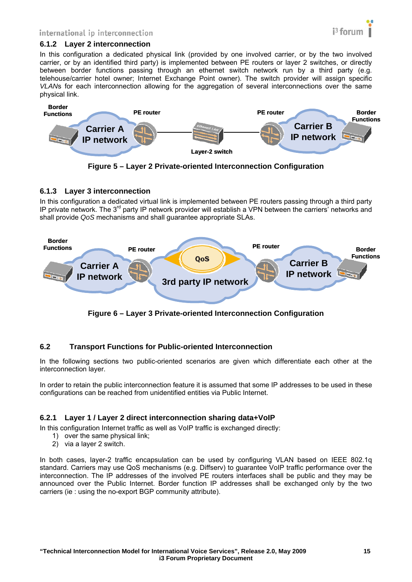#### <span id="page-14-1"></span><span id="page-14-0"></span>**6.1.2 Layer 2 interconnection**

In this configuration a dedicated physical link (provided by one involved carrier, or by the two involved carrier, or by an identified third party) is implemented between PE routers or layer 2 switches, or directly between border functions passing through an ethernet switch network run by a third party (e.g. telehouse/carrier hotel owner; Internet Exchange Point owner). The switch provider will assign specific *VLAN*s for each interconnection allowing for the aggregation of several interconnections over the same physical link.



**Figure 5 – Layer 2 Private-oriented Interconnection Configuration** 

#### <span id="page-14-2"></span>**6.1.3 Layer 3 interconnection**

In this configuration a dedicated virtual link is implemented between PE routers passing through a third party IP private network. The 3<sup>rd</sup> party IP network provider will establish a VPN between the carriers' networks and shall provide *QoS* mechanisms and shall guarantee appropriate SLAs.



**Figure 6 – Layer 3 Private-oriented Interconnection Configuration** 

#### <span id="page-14-3"></span>**6.2 Transport Functions for Public-oriented Interconnection**

In the following sections two public-oriented scenarios are given which differentiate each other at the interconnection layer.

In order to retain the public interconnection feature it is assumed that some IP addresses to be used in these configurations can be reached from unidentified entities via Public Internet.

#### <span id="page-14-4"></span>**6.2.1 Layer 1 / Layer 2 direct interconnection sharing data+VoIP**

In this configuration Internet traffic as well as VoIP traffic is exchanged directly:

- 1) over the same physical link;
- 2) via a layer 2 switch.

In both cases, layer-2 traffic encapsulation can be used by configuring VLAN based on IEEE 802.1q standard. Carriers may use QoS mechanisms (e.g. Diffserv) to guarantee VoIP traffic performance over the interconnection. The IP addresses of the involved PE routers interfaces shall be public and they may be announced over the Public Internet. Border function IP addresses shall be exchanged only by the two carriers (ie : using the no-export BGP community attribute).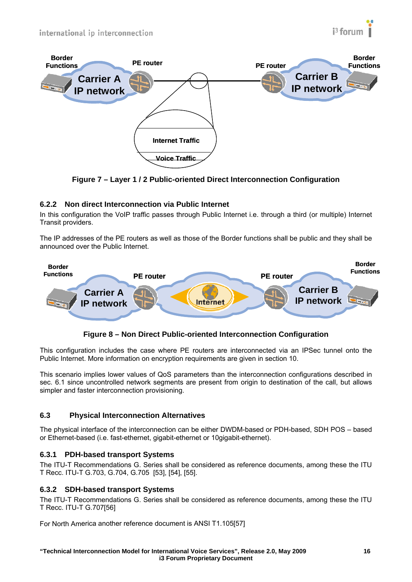

<span id="page-15-0"></span>

**Figure 7 – Layer 1 / 2 Public-oriented Direct Interconnection Configuration** 

# <span id="page-15-1"></span>**6.2.2 Non direct Interconnection via Public Internet**

In this configuration the VoIP traffic passes through Public Internet i.e. through a third (or multiple) Internet Transit providers.

The IP addresses of the PE routers as well as those of the Border functions shall be public and they shall be announced over the Public Internet.



# **Figure 8 – Non Direct Public-oriented Interconnection Configuration**

This configuration includes the case where PE routers are interconnected via an IPSec tunnel onto the Public Internet. More information on encryption requirements are given in section 10.

This scenario implies lower values of QoS parameters than the interconnection configurations described in sec. 6.1 since uncontrolled network segments are present from origin to destination of the call, but allows simpler and faster interconnection provisioning.

#### <span id="page-15-2"></span>**6.3 Physical Interconnection Alternatives**

The physical interface of the interconnection can be either DWDM-based or PDH-based, SDH POS – based or Ethernet-based (i.e. fast-ethernet, gigabit-ethernet or 10gigabit-ethernet).

#### <span id="page-15-3"></span>**6.3.1 PDH-based transport Systems**

The ITU-T Recommendations G. Series shall be considered as reference documents, among these the ITU T Recc. ITU-T G.703, G.704, G.705 [\[53\]](#page-9-0), [\[54\]](#page-9-1), [\[55\].](#page-9-2)

#### <span id="page-15-4"></span>**6.3.2 SDH-based transport Systems**

The ITU-T Recommendations G. Series shall be considered as reference documents, among these the ITU T Recc. ITU-T G.70[7\[56\]](#page-9-3) 

For North America another reference document is ANSI T1.105[\[57\]](#page-9-4)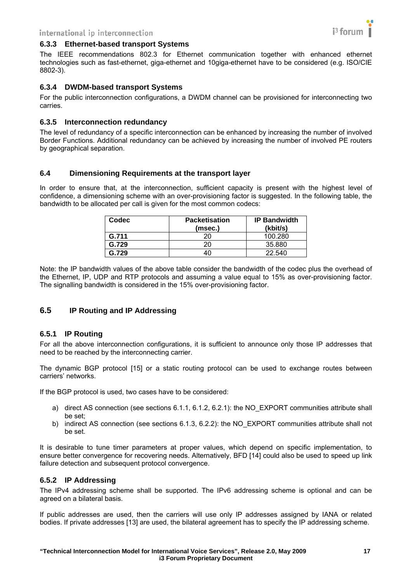

#### <span id="page-16-1"></span><span id="page-16-0"></span>**6.3.3 Ethernet-based transport Systems**

The IEEE recommendations 802.3 for Ethernet communication together with enhanced ethernet technologies such as fast-ethernet, giga-ethernet and 10giga-ethernet have to be considered (e.g. ISO/CIE 8802-3).

#### <span id="page-16-2"></span>**6.3.4 DWDM-based transport Systems**

For the public interconnection configurations, a DWDM channel can be provisioned for interconnecting two carries.

#### <span id="page-16-3"></span>**6.3.5 Interconnection redundancy**

The level of redundancy of a specific interconnection can be enhanced by increasing the number of involved Border Functions. Additional redundancy can be achieved by increasing the number of involved PE routers by geographical separation.

#### <span id="page-16-4"></span>**6.4 Dimensioning Requirements at the transport layer**

In order to ensure that, at the interconnection, sufficient capacity is present with the highest level of confidence, a dimensioning scheme with an over-provisioning factor is suggested. In the following table, the bandwidth to be allocated per call is given for the most common codecs:

| Codec | <b>Packetisation</b><br>(msec.) | <b>IP Bandwidth</b><br>(kbit/s) |
|-------|---------------------------------|---------------------------------|
| G.711 | 20                              | 100.280                         |
| G.729 | 20                              | 35,880                          |
| G.729 |                                 | 22.540                          |

Note: the IP bandwidth values of the above table consider the bandwidth of the codec plus the overhead of the Ethernet, IP, UDP and RTP protocols and assuming a value equal to 15% as over-provisioning factor. The signalling bandwidth is considered in the 15% over-provisioning factor.

#### <span id="page-16-5"></span>**6.5 IP Routing and IP Addressing**

#### <span id="page-16-6"></span>**6.5.1 IP Routing**

For all the above interconnection configurations, it is sufficient to announce only those IP addresses that need to be reached by the interconnecting carrier.

The dynamic BGP protocol [\[15\]](#page-8-7) or a static routing protocol can be used to exchange routes between carriers' networks.

If the BGP protocol is used, two cases have to be considered:

- a) direct AS connection (see sections 6.1.1, 6.1.2, 6.2.1): the NO\_EXPORT communities attribute shall be set;
- b) indirect AS connection (see sections 6.1.3, 6.2.2): the NO\_EXPORT communities attribute shall not be set.

It is desirable to tune timer parameters at proper values, which depend on specific implementation, to ensure better convergence for recovering needs. Alternatively, BFD [\[14\]](#page-8-8) could also be used to speed up link failure detection and subsequent protocol convergence.

#### <span id="page-16-7"></span>**6.5.2 IP Addressing**

The IPv4 addressing scheme shall be supported. The IPv6 addressing scheme is optional and can be agreed on a bilateral basis.

If public addresses are used, then the carriers will use only IP addresses assigned by IANA or related bodies. If private addresses [\[13\]](#page-8-9) are used, the bilateral agreement has to specify the IP addressing scheme.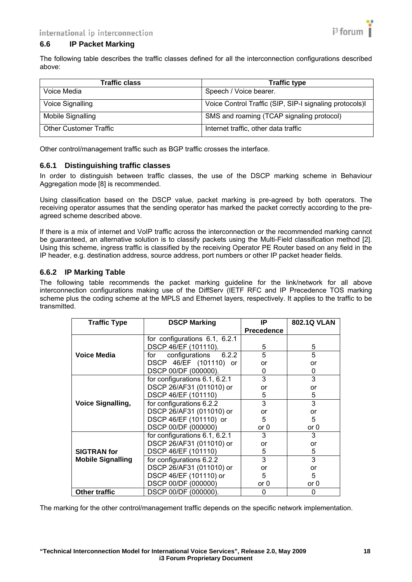

#### <span id="page-17-1"></span><span id="page-17-0"></span>**6.6 IP Packet Marking**

The following table describes the traffic classes defined for all the interconnection configurations described above:

| <b>Traffic class</b>          | <b>Traffic type</b>                                     |
|-------------------------------|---------------------------------------------------------|
| Voice Media                   | Speech / Voice bearer.                                  |
| Voice Signalling              | Voice Control Traffic (SIP, SIP-I signaling protocols)I |
| Mobile Signalling             | SMS and roaming (TCAP signaling protocol)               |
| <b>Other Customer Traffic</b> | Internet traffic, other data traffic                    |

Other control/management traffic such as BGP traffic crosses the interface.

#### <span id="page-17-2"></span>**6.6.1 Distinguishing traffic classes**

In order to distinguish between traffic classes, the use of the DSCP marking scheme in Behaviour Aggregation mode [\[8\]](#page-8-10) is recommended.

Using classification based on the DSCP value, packet marking is pre-agreed by both operators. The receiving operator assumes that the sending operator has marked the packet correctly according to the preagreed scheme described above.

If there is a mix of internet and VoIP traffic across the interconnection or the recommended marking cannot be guaranteed, an alternative solution is to classify packets using the Multi-Field classification method [2]. Using this scheme, ingress traffic is classified by the receiving Operator PE Router based on any field in the IP header, e.g. destination address, source address, port numbers or other IP packet header fields.

#### <span id="page-17-3"></span>**6.6.2 IP Marking Table**

The following table recommends the packet marking guideline for the link/network for all above interconnection configurations making use of the DiffServ (IETF RFC and IP Precedence TOS marking scheme plus the coding scheme at the MPLS and Ethernet layers, respectively. It applies to the traffic to be transmitted.

| <b>Traffic Type</b>      | <b>DSCP Marking</b>           | IP                | <b>802.1Q VLAN</b> |
|--------------------------|-------------------------------|-------------------|--------------------|
|                          |                               | <b>Precedence</b> |                    |
|                          | for configurations 6.1, 6.2.1 |                   |                    |
|                          | DSCP 46/EF (101110).          | 5                 | 5                  |
| <b>Voice Media</b>       | configurations 6.2.2<br>for   | 5                 | 5                  |
|                          | DSCP 46/EF (101110) or        | or                | or                 |
|                          | DSCP 00/DF (000000).          | 0                 | 0                  |
|                          | for configurations 6.1, 6.2.1 | 3                 | 3                  |
|                          | DSCP 26/AF31 (011010) or      | or                | or                 |
|                          | DSCP 46/EF (101110)           | 5                 | 5                  |
| <b>Voice Signalling,</b> | for configurations 6.2.2      | 3                 | 3                  |
|                          | DSCP 26/AF31 (011010) or      | or                | or                 |
|                          | DSCP 46/EF (101110) or        | 5                 | 5                  |
|                          | DSCP 00/DF (000000)           | or 0              | or $0$             |
|                          | for configurations 6.1, 6.2.1 | 3                 | 3                  |
|                          | DSCP 26/AF31 (011010) or      | or                | or                 |
| <b>SIGTRAN</b> for       | DSCP 46/EF (101110)           | 5                 | 5                  |
| <b>Mobile Signalling</b> | for configurations 6.2.2      | 3                 | 3                  |
|                          | DSCP 26/AF31 (011010) or      | or                | or                 |
|                          | DSCP 46/EF (101110) or        | 5                 | 5                  |
|                          | DSCP 00/DF (000000)           | or 0              | or 0               |
| <b>Other traffic</b>     | DSCP 00/DF (000000).          | 0                 | 0                  |

The marking for the other control/management traffic depends on the specific network implementation.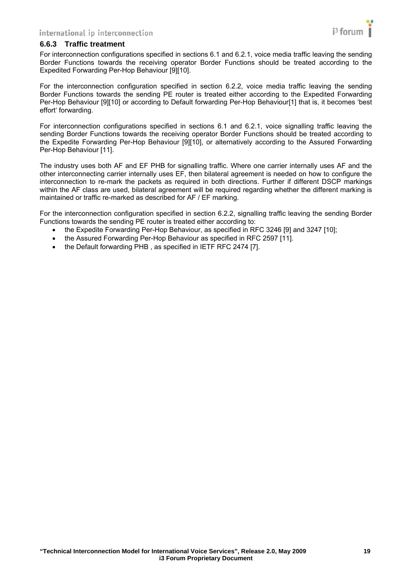

#### <span id="page-18-1"></span><span id="page-18-0"></span>**6.6.3 Traffic treatment**

For interconnection configurations specified in sections 6.1 and 6.2.1, voice media traffic leaving the sending Border Functions towards the receiving operator Border Functions should be treated according to the Expedited Forwarding Per-Hop Behaviour [\[9\]](#page-8-11)[\[10\]](#page-8-12).

For the interconnection configuration specified in section 6.2.2, voice media traffic leaving the sending Border Functions towards the sending PE router is treated either according to the Expedited Forwarding Per-Hop Behaviour [\[9\]](#page-8-11)[\[10\]](#page-8-12) or according to Default forwarding Per-Hop Behaviou[r\[1\]](#page-8-2) that is, it becomes 'best effort' forwarding.

For interconnection configurations specified in sections 6.1 and 6.2.1, voice signalling traffic leaving the sending Border Functions towards the receiving operator Border Functions should be treated according to the Expedite Forwarding Per-Hop Behaviour [\[9\]](#page-8-11)[\[10\]](#page-8-12), or alternatively according to the Assured Forwarding Per-Hop Behaviour [\[11\]](#page-8-13).

The industry uses both AF and EF PHB for signalling traffic. Where one carrier internally uses AF and the other interconnecting carrier internally uses EF, then bilateral agreement is needed on how to configure the interconnection to re-mark the packets as required in both directions. Further if different DSCP markings within the AF class are used, bilateral agreement will be required regarding whether the different marking is maintained or traffic re-marked as described for AF / EF marking.

For the interconnection configuration specified in section 6.2.2, signalling traffic leaving the sending Border Functions towards the sending PE router is treated either according to:

- the Expedite Forwarding Per-Hop Behaviour, as specified in RFC 3246 [\[9\]](#page-8-11) and 3247 [\[10\];](#page-8-12)
- the Assured Forwarding Per-Hop Behaviour as specified in RFC 2597 [\[11\].](#page-8-13)
- the Default forwarding PHB , as specified in IETF RFC 2474 [\[7\]](#page-8-14).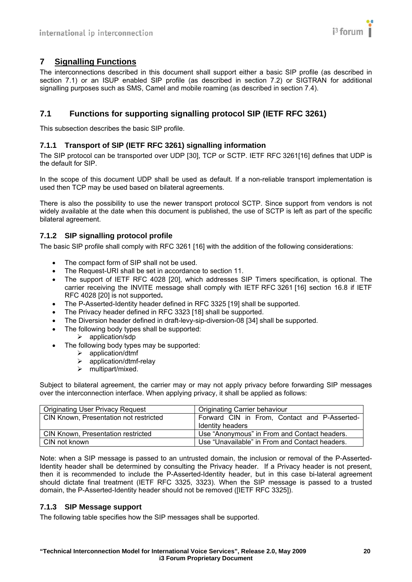# <span id="page-19-1"></span><span id="page-19-0"></span>**7 Signalling Functions**

The interconnections described in this document shall support either a basic SIP profile (as described in section 7.1) or an ISUP enabled SIP profile (as described in section 7.2) or SIGTRAN for additional signalling purposes such as SMS, Camel and mobile roaming (as described in section 7.4).

# <span id="page-19-2"></span>**7.1 Functions for supporting signalling protocol SIP (IETF RFC 3261)**

This subsection describes the basic SIP profile.

# <span id="page-19-3"></span>**7.1.1 Transport of SIP (IETF RFC 3261) signalling information**

The SIP protocol can be transported over UDP [\[30\],](#page-8-15) TCP or SCTP. IETF RFC 326[1\[16\]](#page-8-16) defines that UDP is the default for SIP.

In the scope of this document UDP shall be used as default. If a non-reliable transport implementation is used then TCP may be used based on bilateral agreements.

There is also the possibility to use the newer transport protocol SCTP. Since support from vendors is not widely available at the date when this document is published, the use of SCTP is left as part of the specific bilateral agreement.

# <span id="page-19-4"></span>**7.1.2 SIP signalling protocol profile**

The basic SIP profile shall comply with RFC 3261 [\[16\]](#page-8-16) with the addition of the following considerations:

- The compact form of SIP shall not be used.
- The Request-URI shall be set in accordance to section 11.
- The support of IETF RFC 4028 [\[20\],](#page-8-17) which addresses SIP Timers specification, is optional. The carrier receiving the INVITE message shall comply with IETF RFC 3261 [\[16\]](#page-8-16) section 16.8 if IETF RFC 4028 [\[20\]](#page-8-17) is not supported**.**
- The P-Asserted-Identity header defined in RFC 3325 [\[19\]](#page-8-18) shall be supported.
- The Privacy header defined in RFC 3323 [\[18\]](#page-8-19) shall be supported.
- The Diversion header defined in draft-levy-sip-diversion-08 [\[34\]](#page-8-20) shall be supported.
- The following body types shall be supported:
- $\blacktriangleright$  application/sdp
- The following body types may be supported:
	- $\triangleright$  application/dtmf
	- $\geq$  application/dtmf-relay
	- $\triangleright$  multipart/mixed.

Subject to bilateral agreement, the carrier may or may not apply privacy before forwarding SIP messages over the interconnection interface. When applying privacy, it shall be applied as follows:

| <b>Originating User Privacy Request</b> | <b>Originating Carrier behaviour</b>                             |
|-----------------------------------------|------------------------------------------------------------------|
| CIN Known, Presentation not restricted  | Forward CIN in From, Contact and P-Asserted-<br>Identity headers |
| CIN Known, Presentation restricted      | Use "Anonymous" in From and Contact headers.                     |
| CIN not known                           | Use "Unavailable" in From and Contact headers.                   |

Note: when a SIP message is passed to an untrusted domain, the inclusion or removal of the P-Asserted-Identity header shall be determined by consulting the Privacy header. If a Privacy header is not present, then it is recommended to include the P-Asserted-Identity header, but in this case bi-lateral agreement should dictate final treatment (IETF RFC 3325, 3323). When the SIP message is passed to a trusted domain, the P-Asserted-Identity header should not be removed ([IETF RFC 3325]).

#### <span id="page-19-5"></span>**7.1.3 SIP Message support**

The following table specifies how the SIP messages shall be supported.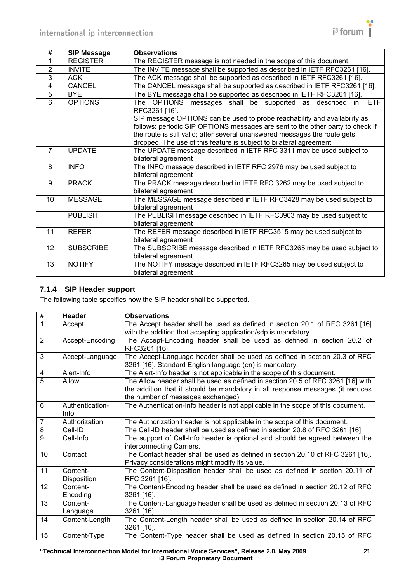

<span id="page-20-0"></span>

| #              | <b>SIP Message</b> | <b>Observations</b>                                                                                                                                                      |
|----------------|--------------------|--------------------------------------------------------------------------------------------------------------------------------------------------------------------------|
|                | <b>REGISTER</b>    | The REGISTER message is not needed in the scope of this document.                                                                                                        |
| 2              | <b>INVITE</b>      | The INVITE message shall be supported as described in IETF RFC3261 [16].                                                                                                 |
| 3              | <b>ACK</b>         | The ACK message shall be supported as described in IETF RFC3261 [16].                                                                                                    |
| 4              | <b>CANCEL</b>      | The CANCEL message shall be supported as described in IETF RFC3261 [16].                                                                                                 |
| $\overline{5}$ | <b>BYE</b>         | The BYE message shall be supported as described in IETF RFC3261 [16].                                                                                                    |
| 6              | <b>OPTIONS</b>     | <b>IETF</b><br>The OPTIONS messages shall be supported as described<br>in.<br>RFC3261 [16].<br>SIP message OPTIONS can be used to probe reachability and availability as |
|                |                    | follows: periodic SIP OPTIONS messages are sent to the other party to check if                                                                                           |
|                |                    | the route is still valid; after several unanswered messages the route gets                                                                                               |
|                |                    | dropped. The use of this feature is subject to bilateral agreement.                                                                                                      |
| $\overline{7}$ | <b>UPDATE</b>      | The UPDATE message described in IETF RFC 3311 may be used subject to                                                                                                     |
|                |                    | bilateral agreement                                                                                                                                                      |
| 8              | <b>INFO</b>        | The INFO message described in IETF RFC 2976 may be used subject to                                                                                                       |
|                |                    | bilateral agreement                                                                                                                                                      |
| 9              | <b>PRACK</b>       | The PRACK message described in IETF RFC 3262 may be used subject to                                                                                                      |
|                |                    | bilateral agreement                                                                                                                                                      |
| 10             | <b>MESSAGE</b>     | The MESSAGE message described in IETF RFC3428 may be used subject to                                                                                                     |
|                |                    | bilateral agreement                                                                                                                                                      |
|                | <b>PUBLISH</b>     | The PUBLISH message described in IETF RFC3903 may be used subject to                                                                                                     |
|                |                    | bilateral agreement                                                                                                                                                      |
| 11             | <b>REFER</b>       | The REFER message described in IETF RFC3515 may be used subject to                                                                                                       |
|                |                    | bilateral agreement                                                                                                                                                      |
| 12             | <b>SUBSCRIBE</b>   | The SUBSCRIBE message described in IETF RFC3265 may be used subject to                                                                                                   |
|                |                    | bilateral agreement                                                                                                                                                      |
| 13             | <b>NOTIFY</b>      | The NOTIFY message described in IETF RFC3265 may be used subject to                                                                                                      |
|                |                    | bilateral agreement                                                                                                                                                      |

# <span id="page-20-1"></span>**7.1.4 SIP Header support**

The following table specifies how the SIP header shall be supported.

| $\overline{\mathbf{t}}$ | Header                  | <b>Observations</b>                                                                                                                                                                                    |
|-------------------------|-------------------------|--------------------------------------------------------------------------------------------------------------------------------------------------------------------------------------------------------|
| $\mathbf{1}$            | Accept                  | The Accept header shall be used as defined in section 20.1 of RFC 3261 [16]<br>with the addition that accepting application/sdp is mandatory.                                                          |
| $\overline{2}$          | Accept-Encoding         | The Accept-Encoding header shall be used as defined in section 20.2 of<br>RFC3261 [16].                                                                                                                |
| $\overline{3}$          | Accept-Language         | The Accept-Language header shall be used as defined in section 20.3 of RFC<br>3261 [16]. Standard English language (en) is mandatory.                                                                  |
| $\overline{\mathbf{4}}$ | Alert-Info              | The Alert-Info header is not applicable in the scope of this document.                                                                                                                                 |
| $\overline{5}$          | Allow                   | The Allow header shall be used as defined in section 20.5 of RFC 3261 [16] with<br>the addition that it should be mandatory in all response messages (it reduces<br>the number of messages exchanged). |
| $\overline{6}$          | Authentication-<br>Info | The Authentication-Info header is not applicable in the scope of this document.                                                                                                                        |
| $\overline{7}$          | Authorization           | The Authorization header is not applicable in the scope of this document.                                                                                                                              |
| 8                       | Call-ID                 | The Call-ID header shall be used as defined in section 20.8 of RFC 3261 [16].                                                                                                                          |
| $\overline{9}$          | Call-Info               | The support of Call-Info header is optional and should be agreed between the<br>interconnecting Carriers.                                                                                              |
| 10                      | Contact                 | The Contact header shall be used as defined in section 20.10 of RFC 3261 [16].<br>Privacy considerations might modify its value.                                                                       |
| 11                      | Content-<br>Disposition | The Content-Disposition header shall be used as defined in section 20.11 of<br>RFC 3261 [16].                                                                                                          |
| 12                      | Content-<br>Encoding    | The Content-Encoding header shall be used as defined in section 20.12 of RFC<br>$3261$ [16].                                                                                                           |
| 13                      | Content-<br>Language    | The Content-Language header shall be used as defined in section 20.13 of RFC<br>3261 [16].                                                                                                             |
| 14                      | Content-Length          | The Content-Length header shall be used as defined in section 20.14 of RFC<br>3261 [16].                                                                                                               |
| 15                      | Content-Type            | The Content-Type header shall be used as defined in section 20.15 of RFC                                                                                                                               |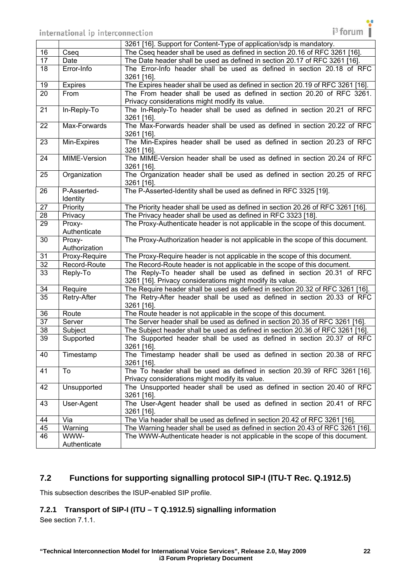<span id="page-21-0"></span>

|                 |                         | 3261 [16]. Support for Content-Type of application/sdp is mandatory.                                                              |
|-----------------|-------------------------|-----------------------------------------------------------------------------------------------------------------------------------|
| 16              | Cseq                    | The Cseq header shall be used as defined in section 20.16 of RFC 3261 [16].                                                       |
| 17              | Date                    | The Date header shall be used as defined in section 20.17 of RFC 3261 [16].                                                       |
| 18              | Error-Info              | The Error-Info header shall be used as defined in section 20.18 of RFC<br>3261 [16].                                              |
| 19              | <b>Expires</b>          | The Expires header shall be used as defined in section 20.19 of RFC 3261 [16].                                                    |
| 20              | From                    | The From header shall be used as defined in section 20.20 of RFC 3261.                                                            |
|                 |                         | Privacy considerations might modify its value.                                                                                    |
| 21              | In-Reply-To             | The In-Reply-To header shall be used as defined in section 20.21 of RFC<br>3261 [16].                                             |
| 22              | Max-Forwards            | The Max-Forwards header shall be used as defined in section 20.22 of RFC<br>3261 [16].                                            |
| 23              | Min-Expires             | The Min-Expires header shall be used as defined in section 20.23 of RFC<br>3261 [16].                                             |
| 24              | MIME-Version            | The MIME-Version header shall be used as defined in section 20.24 of RFC<br>3261 [16].                                            |
| 25              | Organization            | The Organization header shall be used as defined in section 20.25 of RFC<br>3261 [16].                                            |
| 26              | P-Asserted-<br>Identity | The P-Asserted-Identity shall be used as defined in RFC 3325 [19].                                                                |
| $\overline{27}$ | Priority                | The Priority header shall be used as defined in section 20.26 of RFC 3261 [16].                                                   |
| $\overline{28}$ | Privacy                 | The Privacy header shall be used as defined in RFC 3323 [18].                                                                     |
| 29              | Proxy-<br>Authenticate  | The Proxy-Authenticate header is not applicable in the scope of this document.                                                    |
| 30              | Proxy-<br>Authorization | The Proxy-Authorization header is not applicable in the scope of this document.                                                   |
| 31              | Proxy-Require           | The Proxy-Require header is not applicable in the scope of this document.                                                         |
| $\overline{32}$ | Record-Route            | The Record-Route header is not applicable in the scope of this document.                                                          |
| 33              | Reply-To                | The Reply-To header shall be used as defined in section 20.31 of RFC<br>3261 [16]. Privacy considerations might modify its value. |
| 34              | Require                 | The Require header shall be used as defined in section 20.32 of RFC 3261 [16].                                                    |
| 35              | Retry-After             | The Retry-After header shall be used as defined in section 20.33 of RFC<br>3261 [16].                                             |
| 36              | Route                   | The Route header is not applicable in the scope of this document.                                                                 |
| $\overline{37}$ | Server                  | The Server header shall be used as defined in section 20.35 of RFC 3261 [16].                                                     |
| 38              | Subject                 | The Subject header shall be used as defined in section 20.36 of RFC 3261 [16].                                                    |
| 39              | Supported               | The Supported header shall be used as defined in section 20.37 of RFC<br>3261 [16].                                               |
| 40              | Timestamp               | The Timestamp header shall be used as defined in section 20.38 of RFC<br>3261 [16].                                               |
| 41              | To                      | The To header shall be used as defined in section 20.39 of RFC 3261 [16].<br>Privacy considerations might modify its value.       |
| 42              | Unsupported             | The Unsupported header shall be used as defined in section 20.40 of RFC<br>3261 [16].                                             |
| 43              | User-Agent              | The User-Agent header shall be used as defined in section 20.41 of RFC<br>3261 [16].                                              |
| 44              | Via                     | The Via header shall be used as defined in section 20.42 of RFC 3261 [16].                                                        |
| 45              | Warning                 | The Warning header shall be used as defined in section 20.43 of RFC 3261 [16].                                                    |
| 46              | WWW-                    | The WWW-Authenticate header is not applicable in the scope of this document.                                                      |
|                 | Authenticate            |                                                                                                                                   |

# <span id="page-21-1"></span>**7.2 Functions for supporting signalling protocol SIP-I (ITU-T Rec. Q.1912.5)**

This subsection describes the ISUP-enabled SIP profile.

# <span id="page-21-2"></span>**7.2.1 Transport of SIP-I (ITU – T Q.1912.5) signalling information**

See section 7.1.1.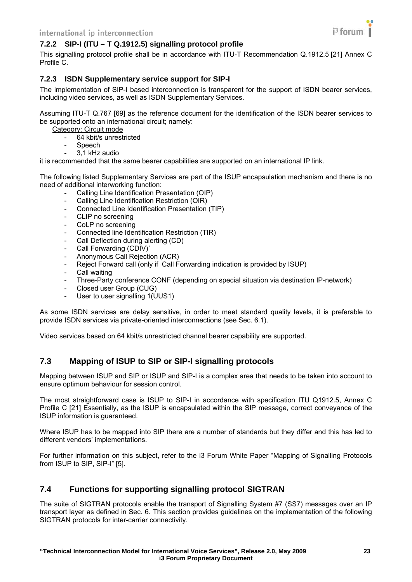<span id="page-22-1"></span><span id="page-22-0"></span>

This signalling protocol profile shall be in accordance with ITU-T Recommendation Q.1912.5 [\[21\]](#page-8-21) Annex C Profile C.

# <span id="page-22-2"></span>**7.2.3 ISDN Supplementary service support for SIP-I**

The implementation of SIP-I based interconnection is transparent for the support of ISDN bearer services, including video services, as well as ISDN Supplementary Services.

Assuming ITU-T Q.767 [\[69\]](#page-9-5) as the reference document for the identification of the ISDN bearer services to be supported onto an international circuit; namely:

Category: Circuit mode

- 64 kbit/s unrestricted
- Speech
- 3,1 kHz audio

it is recommended that the same bearer capabilities are supported on an international IP link.

The following listed Supplementary Services are part of the ISUP encapsulation mechanism and there is no need of additional interworking function:

- Calling Line Identification Presentation (OIP)
- Calling Line Identification Restriction (OIR)
- Connected Line Identification Presentation (TIP)
- CLIP no screening
- CoLP no screening
- Connected line Identification Restriction (TIR)
- Call Deflection during alerting (CD)
- Call Forwarding (CDIV)<sup>\*</sup>
- Anonymous Call Rejection (ACR)
- Reject Forward call (only if Call Forwarding indication is provided by ISUP)
- Call waiting
- Three-Party conference CONF (depending on special situation via destination IP-network)
- Closed user Group (CUG)
- User to user signalling 1(UUS1)

As some ISDN services are delay sensitive, in order to meet standard quality levels, it is preferable to provide ISDN services via private-oriented interconnections (see Sec. 6.1).

Video services based on 64 kbit/s unrestricted channel bearer capability are supported.

# <span id="page-22-3"></span>**7.3 Mapping of ISUP to SIP or SIP-I signalling protocols**

Mapping between ISUP and SIP or ISUP and SIP-I is a complex area that needs to be taken into account to ensure optimum behaviour for session control.

The most straightforward case is ISUP to SIP-I in accordance with specification ITU Q1912.5, Annex C Profile C [\[21\]](#page-8-21) Essentially, as the ISUP is encapsulated within the SIP message, correct conveyance of the ISUP information is guaranteed.

Where ISUP has to be mapped into SIP there are a number of standards but they differ and this has led to different vendors' implementations.

For further information on this subject, refer to the i3 Forum White Paper "Mapping of Signalling Protocols from ISUP to SIP, SIP-I" [\[5\].](#page-8-22)

# <span id="page-22-4"></span>**7.4 Functions for supporting signalling protocol SIGTRAN**

The suite of SIGTRAN protocols enable the transport of Signalling System #7 (SS7) messages over an IP transport layer as defined in Sec. 6. This section provides guidelines on the implementation of the following SIGTRAN protocols for inter-carrier connectivity.

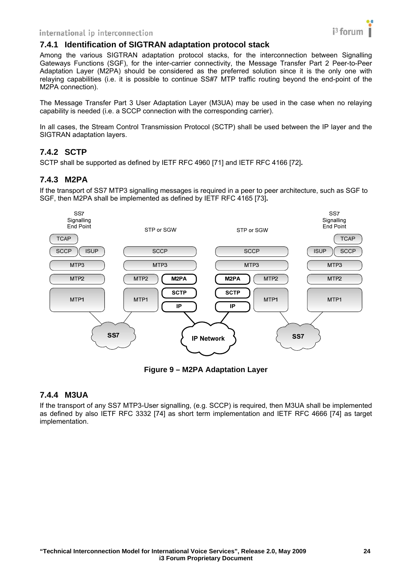#### <span id="page-23-1"></span><span id="page-23-0"></span>**7.4.1 Identification of SIGTRAN adaptation protocol stack**

Among the various SIGTRAN adaptation protocol stacks, for the interconnection between Signalling Gateways Functions (SGF), for the inter-carrier connectivity, the Message Transfer Part 2 Peer-to-Peer Adaptation Layer (M2PA) should be considered as the preferred solution since it is the only one with relaying capabilities (i.e. it is possible to continue SS#7 MTP traffic routing beyond the end-point of the M2PA connection).

The Message Transfer Part 3 User Adaptation Layer (M3UA) may be used in the case when no relaying capability is needed (i.e. a SCCP connection with the corresponding carrier).

In all cases, the Stream Control Transmission Protocol (SCTP) shall be used between the IP layer and the SIGTRAN adaptation layers.

# <span id="page-23-2"></span>**7.4.2 SCTP**

SCTP shall be supported as defined by IETF RFC 4960 [\[71\]](#page-9-6) and IETF RFC 4166 [\[72\]](#page-9-7)**.** 

# <span id="page-23-3"></span>**7.4.3 M2PA**

If the transport of SS7 MTP3 signalling messages is required in a peer to peer architecture, such as SGF to SGF, then M2PA shall be implemented as defined by IETF RFC 4165 [\[73\]](#page-9-8)**.**



**Figure 9 – M2PA Adaptation Layer**

#### <span id="page-23-4"></span>**7.4.4 M3UA**

If the transport of any SS7 MTP3-User signalling, (e.g. SCCP) is required, then M3UA shall be implemented as defined by also IETF RFC 3332 [\[74\]](#page-9-9) as short term implementation and IETF RFC 4666 [\[74\]](#page-9-9) as target implementation.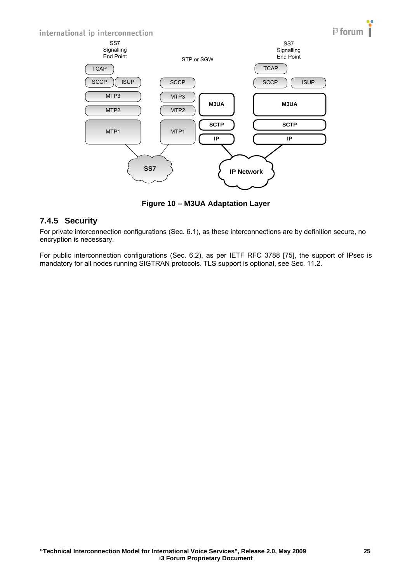<span id="page-24-0"></span>

**Figure 10 – M3UA Adaptation Layer** 

# <span id="page-24-1"></span>**7.4.5 Security**

For private interconnection configurations (Sec. 6.1), as these interconnections are by definition secure, no encryption is necessary.

For public interconnection configurations (Sec. 6.2), as per IETF RFC 3788 [\[75\],](#page-9-10) the support of IPsec is mandatory for all nodes running SIGTRAN protocols. TLS support is optional, see Sec. 11.2.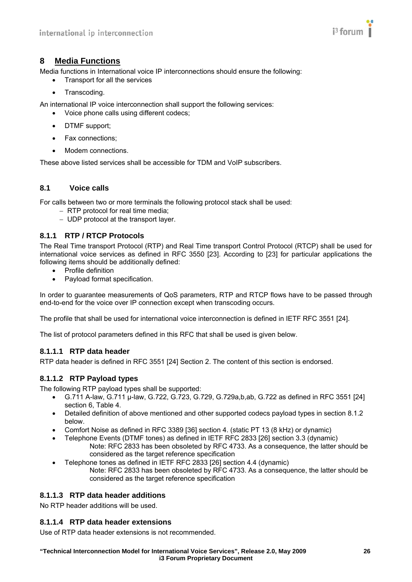

# <span id="page-25-1"></span><span id="page-25-0"></span>**8 Media Functions**

Media functions in International voice IP interconnections should ensure the following:

- Transport for all the services
- Transcoding.

An international IP voice interconnection shall support the following services:

- Voice phone calls using different codecs;
- DTMF support;
- Fax connections:
- Modem connections.

These above listed services shall be accessible for TDM and VoIP subscribers.

#### <span id="page-25-2"></span>**8.1 Voice calls**

For calls between two or more terminals the following protocol stack shall be used:

- − RTP protocol for real time media;
- − UDP protocol at the transport layer.

# <span id="page-25-3"></span>**8.1.1 RTP / RTCP Protocols**

The Real Time transport Protocol (RTP) and Real Time transport Control Protocol (RTCP) shall be used for international voice services as defined in RFC 3550 [\[23\]](#page-8-23). According to [\[23\]](#page-8-23) for particular applications the following items should be additionally defined:

- Profile definition
- Payload format specification.

In order to guarantee measurements of QoS parameters, RTP and RTCP flows have to be passed through end-to-end for the voice over IP connection except when transcoding occurs.

The profile that shall be used for international voice interconnection is defined in IETF RFC 3551 [\[24\].](#page-8-24)

The list of protocol parameters defined in this RFC that shall be used is given below.

#### **8.1.1.1 RTP data header**

RTP data header is defined in RFC 3551 [\[24\]](#page-8-24) Section 2. The content of this section is endorsed.

#### **8.1.1.2 RTP Payload types**

The following RTP payload types shall be supported:

- G.711 A-law, G.711 μ-law, G.722, G.723, G.729, G.729a,b,ab, G.722 as defined in RFC 3551 [\[24\]](#page-8-24) section 6. Table 4
- Detailed definition of above mentioned and other supported codecs payload types in section 8.1.2 below.
- Comfort Noise as defined in RFC 3389 [\[36\]](#page-8-25) section 4. (static PT 13 (8 kHz) or dynamic)
	- Telephone Events (DTMF tones) as defined in IETF RFC 2833 [\[26\]](#page-8-26) section 3.3 (dynamic) Note: RFC 2833 has been obsoleted by RFC 4733. As a consequence, the latter should be considered as the target reference specification
- Telephone tones as defined in IETF RFC 2833 [\[26\]](#page-8-26) section 4.4 (dynamic)
	- Note: RFC 2833 has been obsoleted by RFC 4733. As a consequence, the latter should be considered as the target reference specification

#### **8.1.1.3 RTP data header additions**

No RTP header additions will be used.

#### **8.1.1.4 RTP data header extensions**

Use of RTP data header extensions is not recommended.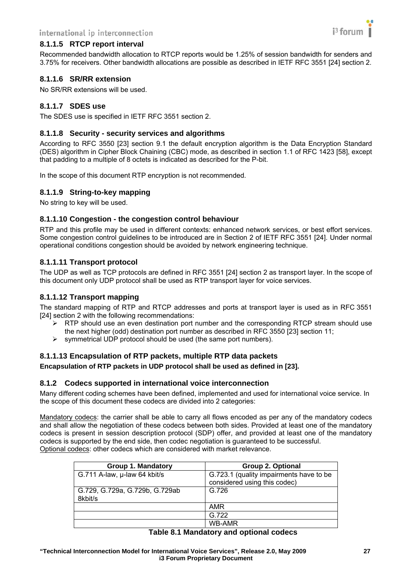

#### <span id="page-26-0"></span>**8.1.1.5 RTCP report interval**

Recommended bandwidth allocation to RTCP reports would be 1.25% of session bandwidth for senders and 3.75% for receivers. Other bandwidth allocations are possible as described in IETF RFC 3551 [\[24\]](#page-8-24) section 2.

#### **8.1.1.6 SR/RR extension**

No SR/RR extensions will be used.

#### **8.1.1.7 SDES use**

The SDES use is specified in IETF RFC 3551 section 2.

#### **8.1.1.8 Security - security services and algorithms**

According to RFC 3550 [\[23\]](#page-8-23) section 9.1 the default encryption algorithm is the Data Encryption Standard (DES) algorithm in Cipher Block Chaining (CBC) mode, as described in section 1.1 of RFC 1423 [\[58\],](#page-9-11) except that padding to a multiple of 8 octets is indicated as described for the P-bit.

In the scope of this document RTP encryption is not recommended.

#### **8.1.1.9 String-to-key mapping**

No string to key will be used.

#### **8.1.1.10 Congestion - the congestion control behaviour**

RTP and this profile may be used in different contexts: enhanced network services, or best effort services. Some congestion control guidelines to be introduced are in Section 2 of IETF RFC 3551 [\[24\].](#page-8-24) Under normal operational conditions congestion should be avoided by network engineering technique.

#### **8.1.1.11 Transport protocol**

The UDP as well as TCP protocols are defined in RFC 3551 [\[24\]](#page-8-24) section 2 as transport layer. In the scope of this document only UDP protocol shall be used as RTP transport layer for voice services.

#### **8.1.1.12 Transport mapping**

The standard mapping of RTP and RTCP addresses and ports at transport layer is used as in RFC 3551 [\[24\]](#page-8-24) section 2 with the following recommendations:

- $\triangleright$  RTP should use an even destination port number and the corresponding RTCP stream should use the next higher (odd) destination port number as described in RFC 3550 [\[23\]](#page-8-23) section 11;
- $\triangleright$  symmetrical UDP protocol should be used (the same port numbers).

#### **8.1.1.13 Encapsulation of RTP packets, multiple RTP data packets**

**Encapsulation of RTP packets in UDP protocol shall be used as defined in [\[23\].](#page-8-23)** 

#### <span id="page-26-1"></span>**8.1.2 Codecs supported in international voice interconnection**

Many different coding schemes have been defined, implemented and used for international voice service. In the scope of this document these codecs are divided into 2 categories:

Mandatory codecs: the carrier shall be able to carry all flows encoded as per any of the mandatory codecs and shall allow the negotiation of these codecs between both sides. Provided at least one of the mandatory codecs is present in session description protocol (SDP) offer, and provided at least one of the mandatory codecs is supported by the end side, then codec negotiation is guaranteed to be successful. Optional codecs: other codecs which are considered with market relevance.

| Group 1. Mandatory                        | Group 2. Optional                                                       |
|-------------------------------------------|-------------------------------------------------------------------------|
| G.711 A-law, µ-law 64 kbit/s              | G.723.1 (quality impairments have to be<br>considered using this codec) |
| G.729, G.729a, G.729b, G.729ab<br>8kbit/s | G.726                                                                   |
|                                           | AMR                                                                     |
|                                           | G.722                                                                   |
|                                           | WB-AMR                                                                  |

# **Table 8.1 Mandatory and optional codecs**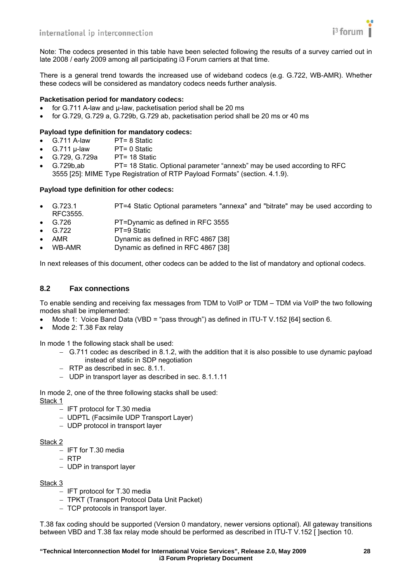<span id="page-27-0"></span>Note: The codecs presented in this table have been selected following the results of a survey carried out in late 2008 / early 2009 among all participating i3 Forum carriers at that time.

There is a general trend towards the increased use of wideband codecs (e.g. G.722, WB-AMR). Whether these codecs will be considered as mandatory codecs needs further analysis.

#### **Packetisation period for mandatory codecs:**

- for G.711 A-law and μ-law, packetisation period shall be 20 ms
- for G.729, G.729 a, G.729b, G.729 ab, packetisation period shall be 20 ms or 40 ms

# **Payload type definition for mandatory codecs:**

- $G.711 A$ -law  $PT= 8$  Static<br> $G.711 \text{ u-law} \qquad PT= 0$  Static
- **G.711 μ-law**
- G.729, G.729a PT= 18 Static
- G.729b,ab PT= 18 Static. Optional parameter "annexb" may be used according to RFC 3555 [\[25\]](#page-8-27): MIME Type Registration of RTP Payload Formats" (section. 4.1.9).

#### **Payload type definition for other codecs:**

- G.723.1 PT=4 Static Optional parameters "annexa" and "bitrate" may be used according to RFC3555.
- G.726 PT=Dynamic as defined in RFC 3555
- G.722 PT=9 Static
- AMR Dynamic as defined in RFC 4867 [\[38\]](#page-8-28)
- WB-AMR Dynamic as defined in RFC 4867 [\[38\]](#page-8-28)

In next releases of this document, other codecs can be added to the list of mandatory and optional codecs.

#### <span id="page-27-1"></span>**8.2 Fax connections**

To enable sending and receiving fax messages from TDM to VoIP or TDM – TDM via VoIP the two following modes shall be implemented:

- Mode 1: Voice Band Data (VBD = "pass through") as defined in ITU-T V.152 [64] section 6.
- Mode 2: T.38 Fax relay

In mode 1 the following stack shall be used:

- − G.711 codec as described in 8.1.2, with the addition that it is also possible to use dynamic payload instead of static in SDP negotiation
- − RTP as described in sec. 8.1.1.
- − UDP in transport layer as described in sec. 8.1.1.11

In mode 2, one of the three following stacks shall be used:

Stack 1

- − IFT protocol for T.30 media
- − UDPTL (Facsimile UDP Transport Layer)
- − UDP protocol in transport layer

#### Stack<sub>2</sub>

- − IFT for T.30 media
- − RTP
- − UDP in transport layer

#### Stack 3

- − IFT protocol for T.30 media
- − TPKT (Transport Protocol Data Unit Packet)
- − TCP protocols in transport layer.

T.38 fax coding should be supported (Version 0 mandatory, newer versions optional). All gateway transitions between VBD and T.38 fax relay mode should be performed as described in ITU-T V.152 [ ]section 10.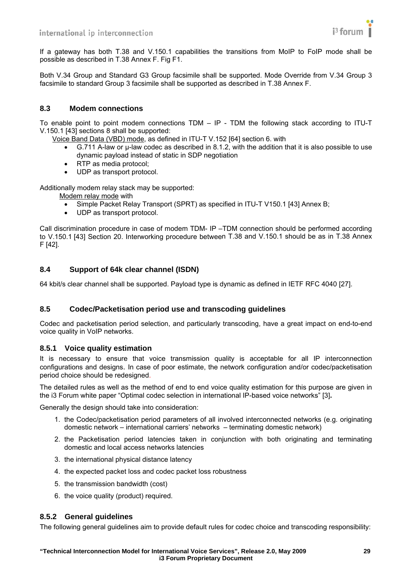

<span id="page-28-0"></span>If a gateway has both T.38 and V.150.1 capabilities the transitions from MoIP to FoIP mode shall be possible as described in T.38 Annex F. Fig F1.

Both V.34 Group and Standard G3 Group facsimile shall be supported. Mode Override from V.34 Group 3 facsimile to standard Group 3 facsimile shall be supported as described in T.38 Annex F.

#### <span id="page-28-1"></span>**8.3 Modem connections**

To enable point to point modem connections TDM – IP - TDM the following stack according to ITU-T V.150.1 [\[43\]](#page-8-29) sections 8 shall be supported:

Voice Band Data (VBD) mode, as defined in ITU-T V.152 [64] section 6. with

- G.711 A-law or μ-law codec as described in 8.1.2, with the addition that it is also possible to use dynamic payload instead of static in SDP negotiation
- RTP as media protocol;
- UDP as transport protocol.

Additionally modem relay stack may be supported:

Modem relay mode with

- Simple Packet Relay Transport (SPRT) as specified in ITU-T V150.1 [\[43\]](#page-8-29) Annex B;
- UDP as transport protocol.

Call discrimination procedure in case of modem TDM- IP –TDM connection should be performed according to V.150.1 [\[43\]](#page-8-29) Section 20. Interworking procedure between T.38 and V.150.1 should be as in T.38 Annex F [\[42\]](#page-8-30).

#### <span id="page-28-2"></span>**8.4 Support of 64k clear channel (ISDN)**

64 kbit/s clear channel shall be supported. Payload type is dynamic as defined in IETF RFC 4040 [\[27\].](#page-8-31)

#### <span id="page-28-3"></span>**8.5 Codec/Packetisation period use and transcoding guidelines**

Codec and packetisation period selection, and particularly transcoding, have a great impact on end-to-end voice quality in VoIP networks.

#### <span id="page-28-4"></span>**8.5.1 Voice quality estimation**

It is necessary to ensure that voice transmission quality is acceptable for all IP interconnection configurations and designs. In case of poor estimate, the network configuration and/or codec/packetisation period choice should be redesigned.

The detailed rules as well as the method of end to end voice quality estimation for this purpose are given in the i3 Forum white paper "Optimal codec selection in international IP-based voice networks" [\[3\]](#page-8-4)**.**

Generally the design should take into consideration:

- 1. the Codec/packetisation period parameters of all involved interconnected networks (e.g. originating domestic network – international carriers' networks – terminating domestic network)
- 2. the Packetisation period latencies taken in conjunction with both originating and terminating domestic and local access networks latencies
- 3. the international physical distance latency
- 4. the expected packet loss and codec packet loss robustness
- 5. the transmission bandwidth (cost)
- 6. the voice quality (product) required.

#### <span id="page-28-5"></span>**8.5.2 General guidelines**

The following general guidelines aim to provide default rules for codec choice and transcoding responsibility: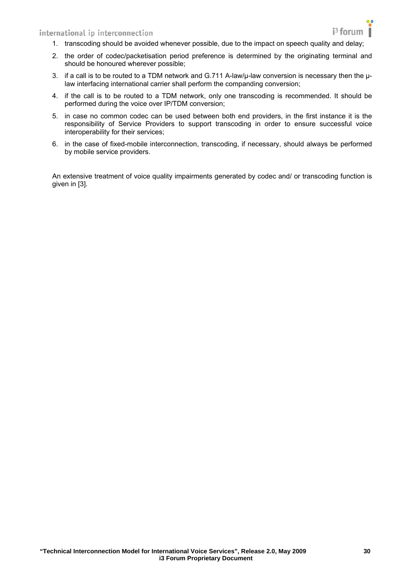- 1. transcoding should be avoided whenever possible, due to the impact on speech quality and delay;
- 2. the order of codec/packetisation period preference is determined by the originating terminal and should be honoured wherever possible;
- 3. if a call is to be routed to a TDM network and G.711 A-law/μ-law conversion is necessary then the μlaw interfacing international carrier shall perform the companding conversion;
- 4. if the call is to be routed to a TDM network, only one transcoding is recommended. It should be performed during the voice over IP/TDM conversion;
- 5. in case no common codec can be used between both end providers, in the first instance it is the responsibility of Service Providers to support transcoding in order to ensure successful voice interoperability for their services;
- 6. in the case of fixed-mobile interconnection, transcoding, if necessary, should always be performed by mobile service providers.

An extensive treatment of voice quality impairments generated by codec and/ or transcoding function is given in [\[3\].](#page-8-4)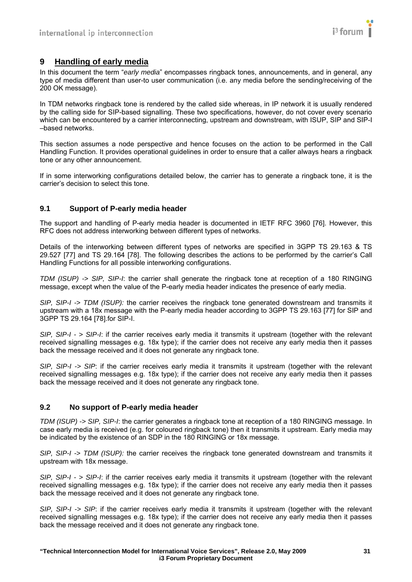

# <span id="page-30-1"></span><span id="page-30-0"></span>**9 Handling of early media**

In this document the term "*early media*" encompasses ringback tones, announcements, and in general, any type of media different than user-to user communication (i.e. any media before the sending/receiving of the 200 OK message).

In TDM networks ringback tone is rendered by the called side whereas, in IP network it is usually rendered by the calling side for SIP-based signalling. These two specifications, however, do not cover every scenario which can be encountered by a carrier interconnecting, upstream and downstream, with ISUP, SIP and SIP-I –based networks.

This section assumes a node perspective and hence focuses on the action to be performed in the Call Handling Function. It provides operational guidelines in order to ensure that a caller always hears a ringback tone or any other announcement.

If in some interworking configurations detailed below, the carrier has to generate a ringback tone, it is the carrier's decision to select this tone.

#### <span id="page-30-2"></span>**9.1 Support of P-early media header**

The support and handling of P-early media header is documented in IETF RFC 3960 [\[76\]](#page-9-12). However, this RFC does not address interworking between different types of networks.

Details of the interworking between different types of networks are specified in 3GPP TS 29.163 & TS 29.527 [\[77\]](#page-9-13) and TS 29.164 [\[78\]](#page-9-14). The following describes the actions to be performed by the carrier's Call Handling Functions for all possible interworking configurations.

*TDM (ISUP) -> SIP, SIP-I*: the carrier shall generate the ringback tone at reception of a 180 RINGING message, except when the value of the P-early media header indicates the presence of early media.

*SIP, SIP-I -> TDM (ISUP):* the carrier receives the ringback tone generated downstream and transmits it upstream with a 18x message with the P-early media header according to 3GPP TS 29.163 [\[77\]](#page-9-13) for SIP and 3GPP TS 29.164 [\[78\].](#page-9-14)for SIP-I.

*SIP, SIP-I - > SIP-I*: if the carrier receives early media it transmits it upstream (together with the relevant received signalling messages e.g. 18x type); if the carrier does not receive any early media then it passes back the message received and it does not generate any ringback tone.

*SIP, SIP-I -> SIP*: if the carrier receives early media it transmits it upstream (together with the relevant received signalling messages e.g. 18x type); if the carrier does not receive any early media then it passes back the message received and it does not generate any ringback tone.

#### <span id="page-30-3"></span>**9.2 No support of P-early media header**

*TDM (ISUP) -> SIP, SIP-I*: the carrier generates a ringback tone at reception of a 180 RINGING message. In case early media is received (e.g. for coloured ringback tone) then it transmits it upstream. Early media may be indicated by the existence of an SDP in the 180 RINGING or 18x message.

*SIP, SIP-I -> TDM (ISUP):* the carrier receives the ringback tone generated downstream and transmits it upstream with 18x message.

*SIP, SIP-I - > SIP-I*: if the carrier receives early media it transmits it upstream (together with the relevant received signalling messages e.g. 18x type); if the carrier does not receive any early media then it passes back the message received and it does not generate any ringback tone.

*SIP, SIP-I -> SIP*: if the carrier receives early media it transmits it upstream (together with the relevant received signalling messages e.g. 18x type); if the carrier does not receive any early media then it passes back the message received and it does not generate any ringback tone.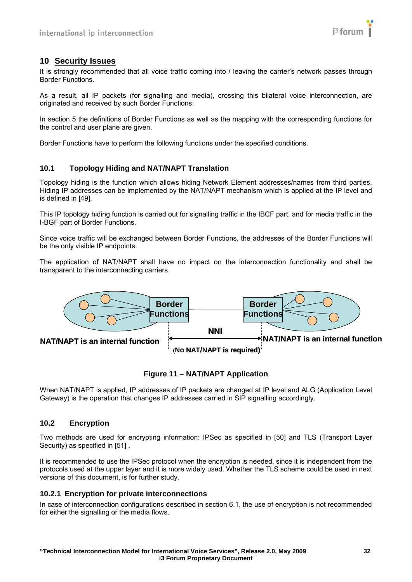

# <span id="page-31-1"></span><span id="page-31-0"></span>**10 Security Issues**

It is strongly recommended that all voice traffic coming into / leaving the carrier's network passes through Border Functions.

As a result, all IP packets (for signalling and media), crossing this bilateral voice interconnection, are originated and received by such Border Functions.

In section 5 the definitions of Border Functions as well as the mapping with the corresponding functions for the control and user plane are given.

Border Functions have to perform the following functions under the specified conditions.

#### <span id="page-31-2"></span>**10.1 Topology Hiding and NAT/NAPT Translation**

Topology hiding is the function which allows hiding Network Element addresses/names from third parties. Hiding IP addresses can be implemented by the NAT/NAPT mechanism which is applied at the IP level and is defined in [\[49\]](#page-9-15).

This IP topology hiding function is carried out for signalling traffic in the IBCF part, and for media traffic in the I-BGF part of Border Functions.

Since voice traffic will be exchanged between Border Functions, the addresses of the Border Functions will be the only visible IP endpoints.

The application of NAT/NAPT shall have no impact on the interconnection functionality and shall be transparent to the interconnecting carriers.



#### **Figure 11 – NAT/NAPT Application**

When NAT/NAPT is applied, IP addresses of IP packets are changed at IP level and ALG (Application Level Gateway) is the operation that changes IP addresses carried in SIP signalling accordingly.

#### <span id="page-31-3"></span>**10.2 Encryption**

Two methods are used for encrypting information: IPSec as specified in [\[50\]](#page-9-16) and TLS (Transport Layer Security) as specified in [51].

It is recommended to use the IPSec protocol when the encryption is needed, since it is independent from the protocols used at the upper layer and it is more widely used. Whether the TLS scheme could be used in next versions of this document, is for further study.

#### <span id="page-31-4"></span>**10.2.1 Encryption for private interconnections**

In case of interconnection configurations described in section 6.1, the use of encryption is not recommended for either the signalling or the media flows.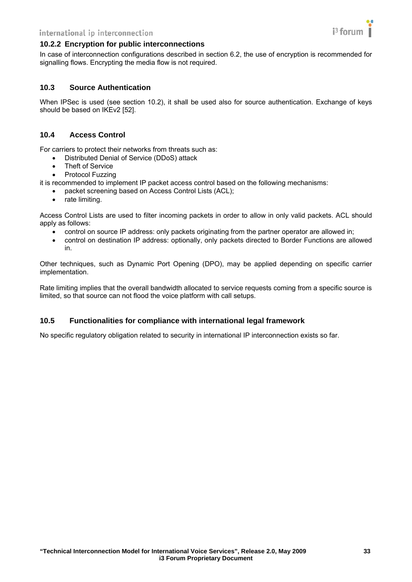

#### <span id="page-32-1"></span><span id="page-32-0"></span>**10.2.2 Encryption for public interconnections**

In case of interconnection configurations described in section 6.2, the use of encryption is recommended for signalling flows. Encrypting the media flow is not required.

#### <span id="page-32-2"></span>**10.3 Source Authentication**

When IPSec is used (see section 10.2), it shall be used also for source authentication. Exchange of keys should be based on IKEv2 [\[52\].](#page-9-18)

#### <span id="page-32-3"></span>**10.4 Access Control**

For carriers to protect their networks from threats such as:

- Distributed Denial of Service (DDoS) attack
- **Theft of Service**
- Protocol Fuzzing

it is recommended to implement IP packet access control based on the following mechanisms:

- packet screening based on Access Control Lists (ACL);
- rate limiting.

Access Control Lists are used to filter incoming packets in order to allow in only valid packets. ACL should apply as follows:

- control on source IP address: only packets originating from the partner operator are allowed in;
- control on destination IP address: optionally, only packets directed to Border Functions are allowed in.

Other techniques, such as Dynamic Port Opening (DPO), may be applied depending on specific carrier implementation.

Rate limiting implies that the overall bandwidth allocated to service requests coming from a specific source is limited, so that source can not flood the voice platform with call setups.

#### <span id="page-32-4"></span>**10.5 Functionalities for compliance with international legal framework**

No specific regulatory obligation related to security in international IP interconnection exists so far.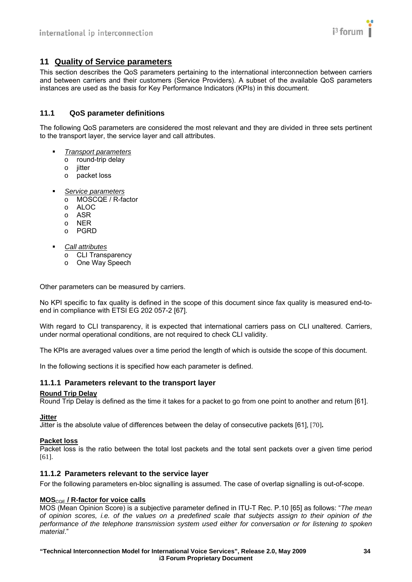

#### <span id="page-33-1"></span><span id="page-33-0"></span>**11 Quality of Service parameters**

This section describes the QoS parameters pertaining to the international interconnection between carriers and between carriers and their customers (Service Providers). A subset of the available QoS parameters instances are used as the basis for Key Performance Indicators (KPIs) in this document.

#### <span id="page-33-2"></span>**11.1 QoS parameter definitions**

The following QoS parameters are considered the most relevant and they are divided in three sets pertinent to the transport layer, the service layer and call attributes.

- *Transport parameters*
	- o round-trip delay
	- o jitter
	- o packet loss
- *Service parameters*
	- o MOSCQE / R-factor
	- o ALOC
	- o ASR
	- o NER
	- o PGRD
- *Call attributes*
	- o CLI Transparency
	- o One Way Speech

Other parameters can be measured by carriers.

No KPI specific to fax quality is defined in the scope of this document since fax quality is measured end-toend in compliance with ETSI EG 202 057-2 [\[67\]](#page-9-19).

With regard to CLI transparency, it is expected that international carriers pass on CLI unaltered. Carriers, under normal operational conditions, are not required to check CLI validity.

The KPIs are averaged values over a time period the length of which is outside the scope of this document.

In the following sections it is specified how each parameter is defined.

#### <span id="page-33-3"></span>**11.1.1 Parameters relevant to the transport layer**

#### **Round Trip Delay**

Round Trip Delay is defined as the time it takes for a packet to go from one point to another and return [\[61\]](#page-9-20).

**Jitter**

Jitter is the absolute value of differences between the delay of consecutive packets [\[61\]](#page-9-20), [\[70\]](#page-9-21)**.**

#### **Packet loss**

Packet loss is the ratio between the total lost packets and the total sent packets over a given time period [\[61\]](#page-9-20).

#### <span id="page-33-4"></span>**11.1.2 Parameters relevant to the service layer**

For the following parameters en-bloc signalling is assumed. The case of overlap signalling is out-of-scope.

#### **MOS**<sub>COE</sub> / R-factor for voice calls

MOS (Mean Opinion Score) is a subjective parameter defined in ITU-T Rec. P.10 [\[65\]](#page-9-22) as follows: "*The mean of opinion scores, i.e. of the values on a predefined scale that subjects assign to their opinion of the performance of the telephone transmission system used either for conversation or for listening to spoken material*."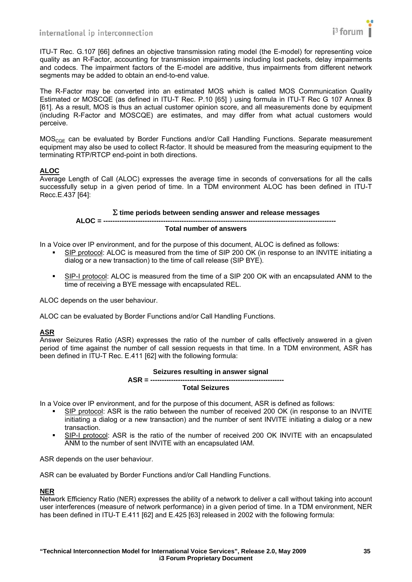

ITU-T Rec. G.107 [\[66\]](#page-9-23) defines an objective transmission rating model (the E-model) for representing voice quality as an R-Factor, accounting for transmission impairments including lost packets, delay impairments and codecs. The impairment factors of the E-model are additive, thus impairments from different network segments may be added to obtain an end-to-end value.

The R-Factor may be converted into an estimated MOS which is called MOS Communication Quality Estimated or MOSCQE (as defined in ITU-T Rec. P.10 [\[65\]](#page-9-22) ) using formula in ITU-T Rec G 107 Annex B [61]. As a result, MOS is thus an actual customer opinion score, and all measurements done by equipment (including R-Factor and MOSCQE) are estimates, and may differ from what actual customers would perceive.

 $MOS<sub>COE</sub>$  can be evaluated by Border Functions and/or Call Handling Functions. Separate measurement equipment may also be used to collect R-factor. It should be measured from the measuring equipment to the terminating RTP/RTCP end-point in both directions.

#### **ALOC**

Average Length of Call (ALOC) expresses the average time in seconds of conversations for all the calls successfully setup in a given period of time. In a TDM environment ALOC has been defined in ITU-T Recc.E.437 [\[64\]:](#page-9-24)

#### Σ **time periods between sending answer and release messages**

#### **ALOC = -----Total number of answers**

In a Voice over IP environment, and for the purpose of this document, ALOC is defined as follows:

- SIP protocol: ALOC is measured from the time of SIP 200 OK (in response to an INVITE initiating a dialog or a new transaction) to the time of call release (SIP BYE).
- SIP-I protocol: ALOC is measured from the time of a SIP 200 OK with an encapsulated ANM to the time of receiving a BYE message with encapsulated REL.

ALOC depends on the user behaviour.

ALOC can be evaluated by Border Functions and/or Call Handling Functions.

#### **ASR**

Answer Seizures Ratio (ASR) expresses the ratio of the number of calls effectively answered in a given period of time against the number of call session requests in that time. In a TDM environment, ASR has been defined in ITU-T Rec. E.411 [\[62\]](#page-9-25) with the following formula:

#### **Seizures resulting in answer signal ASR = ---------------------------------------------------------- Total Seizures**

In a Voice over IP environment, and for the purpose of this document, ASR is defined as follows:

- SIP protocol: ASR is the ratio between the number of received 200 OK (in response to an INVITE initiating a dialog or a new transaction) and the number of sent INVITE initiating a dialog or a new transaction.
- SIP-I protocol: ASR is the ratio of the number of received 200 OK INVITE with an encapsulated ANM to the number of sent INVITE with an encapsulated IAM.

ASR depends on the user behaviour.

ASR can be evaluated by Border Functions and/or Call Handling Functions.

#### **NER**

Network Efficiency Ratio (NER) expresses the ability of a network to deliver a call without taking into account user interferences (measure of network performance) in a given period of time. In a TDM environment, NER has been defined in ITU-T E.411 [\[62\]](#page-9-25) and E.425 [\[63\]](#page-9-26) released in 2002 with the following formula: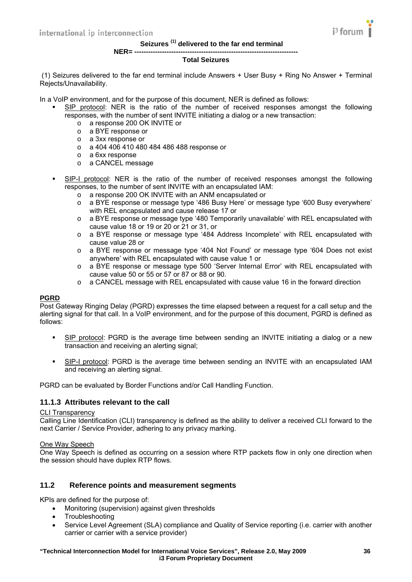

#### **Seizures (1) delivered to the far end terminal**

#### **NER= -----------------------------------------------------------------------**

#### **Total Seizures**

<span id="page-35-0"></span> (1) Seizures delivered to the far end terminal include Answers + User Busy + Ring No Answer + Terminal Rejects/Unavailability.

In a VoIP environment, and for the purpose of this document, NER is defined as follows:

- SIP protocol: NER is the ratio of the number of received responses amongst the following responses, with the number of sent INVITE initiating a dialog or a new transaction:
	- o a response 200 OK INVITE or
	- o a BYE response or
	- o a 3xx response or
	- o a 404 406 410 480 484 486 488 response or
	- o a 6xx response
	- o a CANCEL message
- SIP-I protocol: NER is the ratio of the number of received responses amongst the following responses, to the number of sent INVITE with an encapsulated IAM:
	- o a response 200 OK INVITE with an ANM encapsulated or
	- o a BYE response or message type '486 Busy Here' or message type '600 Busy everywhere' with REL encapsulated and cause release 17 or
	- o a BYE response or message type '480 Temporarily unavailable' with REL encapsulated with cause value 18 or 19 or 20 or 21 or 31, or
	- o a BYE response or message type '484 Address Incomplete' with REL encapsulated with cause value 28 or
	- o a BYE response or message type '404 Not Found' or message type '604 Does not exist anywhere' with REL encapsulated with cause value 1 or
	- o a BYE response or message type 500 'Server Internal Error' with REL encapsulated with cause value 50 or 55 or 57 or 87 or 88 or 90.
	- o a CANCEL message with REL encapsulated with cause value 16 in the forward direction

#### **PGRD**

Post Gateway Ringing Delay (PGRD) expresses the time elapsed between a request for a call setup and the alerting signal for that call. In a VoIP environment, and for the purpose of this document, PGRD is defined as follows:

- SIP protocol: PGRD is the average time between sending an INVITE initiating a dialog or a new transaction and receiving an alerting signal;
- SIP-I protocol: PGRD is the average time between sending an INVITE with an encapsulated IAM and receiving an alerting signal.

PGRD can be evaluated by Border Functions and/or Call Handling Function.

#### <span id="page-35-1"></span>**11.1.3 Attributes relevant to the call**

#### CLI Transparency

Calling Line Identification (CLI) transparency is defined as the ability to deliver a received CLI forward to the next Carrier / Service Provider, adhering to any privacy marking.

#### One Way Speech

One Way Speech is defined as occurring on a session where RTP packets flow in only one direction when the session should have duplex RTP flows.

#### <span id="page-35-2"></span>**11.2 Reference points and measurement segments**

KPIs are defined for the purpose of:

- Monitoring (supervision) against given thresholds
- Troubleshooting
- Service Level Agreement (SLA) compliance and Quality of Service reporting (i.e. carrier with another carrier or carrier with a service provider)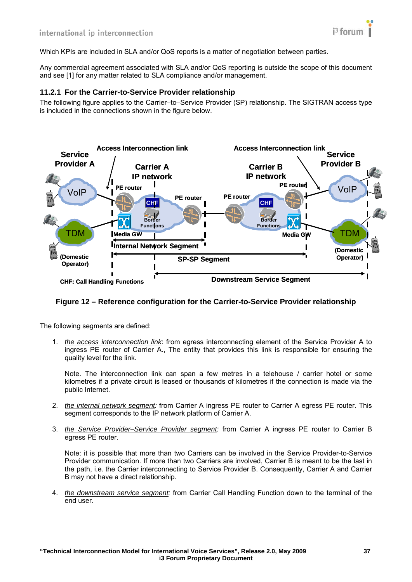

<span id="page-36-0"></span>Which KPIs are included in SLA and/or QoS reports is a matter of negotiation between parties.

Any commercial agreement associated with SLA and/or QoS reporting is outside the scope of this document and see [\[1\]](#page-8-2) for any matter related to SLA compliance and/or management.

#### <span id="page-36-1"></span>**11.2.1 For the Carrier-to-Service Provider relationship**

The following figure applies to the Carrier–to–Service Provider (SP) relationship. The SIGTRAN access type is included in the connections shown in the figure below.



#### **Figure 12 – Reference configuration for the Carrier-to-Service Provider relationship**

The following segments are defined:

1. *the access interconnection link*: from egress interconnecting element of the Service Provider A to ingress PE router of Carrier A., The entity that provides this link is responsible for ensuring the quality level for the link.

Note. The interconnection link can span a few metres in a telehouse / carrier hotel or some kilometres if a private circuit is leased or thousands of kilometres if the connection is made via the public Internet.

- 2. *the internal network segment:* from Carrier A ingress PE router to Carrier A egress PE router. This segment corresponds to the IP network platform of Carrier A.
- 3. *the Service Provider–Service Provider segment:* from Carrier A ingress PE router to Carrier B egress PE router.

Note: it is possible that more than two Carriers can be involved in the Service Provider-to-Service Provider communication. If more than two Carriers are involved, Carrier B is meant to be the last in the path, i.e. the Carrier interconnecting to Service Provider B. Consequently, Carrier A and Carrier B may not have a direct relationship.

4. *the downstream service segment:* from Carrier Call Handling Function down to the terminal of the end user.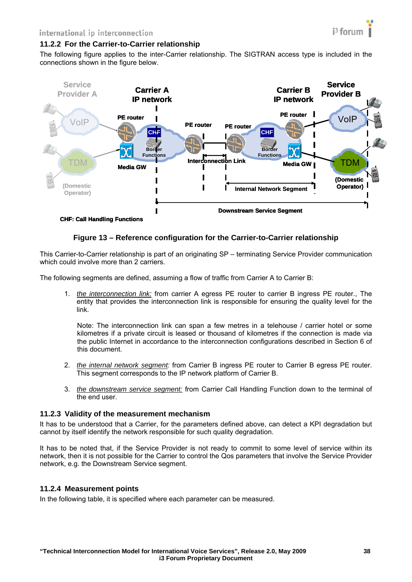#### <span id="page-37-1"></span><span id="page-37-0"></span>**11.2.2 For the Carrier-to-Carrier relationship**

The following figure applies to the inter-Carrier relationship. The SIGTRAN access type is included in the connections shown in the figure below.



#### **Figure 13 – Reference configuration for the Carrier-to-Carrier relationship**

This Carrier-to-Carrier relationship is part of an originating SP – terminating Service Provider communication which could involve more than 2 carriers.

The following segments are defined, assuming a flow of traffic from Carrier A to Carrier B:

1. *the interconnection link:* from carrier A egress PE router to carrier B ingress PE router., The entity that provides the interconnection link is responsible for ensuring the quality level for the link.

Note: The interconnection link can span a few metres in a telehouse / carrier hotel or some kilometres if a private circuit is leased or thousand of kilometres if the connection is made via the public Internet in accordance to the interconnection configurations described in Section 6 of this document.

- 2. *the internal network segment:* from Carrier B ingress PE router to Carrier B egress PE router. This segment corresponds to the IP network platform of Carrier B.
- 3. *the downstream service segment:* from Carrier Call Handling Function down to the terminal of the end user.

#### <span id="page-37-2"></span>**11.2.3 Validity of the measurement mechanism**

It has to be understood that a Carrier, for the parameters defined above, can detect a KPI degradation but cannot by itself identify the network responsible for such quality degradation.

It has to be noted that, if the Service Provider is not ready to commit to some level of service within its network, then it is not possible for the Carrier to control the Qos parameters that involve the Service Provider network, e.g. the Downstream Service segment.

#### <span id="page-37-3"></span>**11.2.4 Measurement points**

In the following table, it is specified where each parameter can be measured.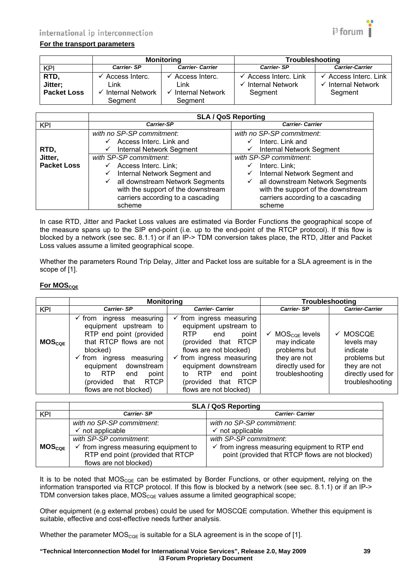# international ip interconnection



#### **For the transport parameters**

|                                       |                                                              | <b>Monitoring</b>                                            | Troubleshooting                                           |                                                                                 |
|---------------------------------------|--------------------------------------------------------------|--------------------------------------------------------------|-----------------------------------------------------------|---------------------------------------------------------------------------------|
| KPI                                   | <b>Carrier-SP</b>                                            | <b>Carrier- Carrier</b>                                      | <b>Carrier-SP</b>                                         | <b>Carrier-Carrier</b>                                                          |
| RTD,<br>Jitter;<br><b>Packet Loss</b> | Access Interc.<br>Link<br><b>Internal Network</b><br>Segment | Access Interc.<br>Link<br><b>Internal Network</b><br>Segment | Access Interc. Link<br><b>Internal Network</b><br>Segment | $\checkmark$ Access Interc. Link<br>Internal Network<br>$\checkmark$<br>Segment |

|                    | <b>SLA / QoS Reporting</b>                   |                                    |  |
|--------------------|----------------------------------------------|------------------------------------|--|
| <b>KPI</b>         | <b>Carrier-SP</b>                            | <b>Carrier- Carrier</b>            |  |
|                    | with no SP-SP commitment.                    | with no SP-SP commitment.          |  |
|                    | Access Interc. Link and<br>$\checkmark$      | Interc. Link and                   |  |
| RTD,               | <b>Internal Network Segment</b><br>✓         | <b>Internal Network Segment</b>    |  |
| Jitter,            | with SP-SP commitment.                       | with SP-SP commitment.             |  |
| <b>Packet Loss</b> | Access Interc. Link;<br>✓                    | Interc. Link;                      |  |
|                    | Internal Network Segment and<br>✓            | Internal Network Segment and<br>✓  |  |
|                    | $\checkmark$ all downstream Network Segments | all downstream Network Segments    |  |
|                    | with the support of the downstream           | with the support of the downstream |  |
|                    | carriers according to a cascading            | carriers according to a cascading  |  |
|                    | scheme                                       | scheme                             |  |

In case RTD, Jitter and Packet Loss values are estimated via Border Functions the geographical scope of the measure spans up to the SIP end-point (i.e. up to the end-point of the RTCP protocol). If this flow is blocked by a network (see sec. 8.1.1) or if an IP-> TDM conversion takes place, the RTD, Jitter and Packet Loss values assume a limited geographical scope.

Whether the parameters Round Trip Delay, Jitter and Packet loss are suitable for a SLA agreement is in the scope of [\[1\]](#page-8-2).

#### **For MOS**<sub>COE</sub>

|             | <b>Monitoring</b>                                                                                                                                                                                                                                                                                         |                                                                                                                                                                                                                                                                                                       |                                                                                                                            | <b>Troubleshooting</b>                                                                                               |
|-------------|-----------------------------------------------------------------------------------------------------------------------------------------------------------------------------------------------------------------------------------------------------------------------------------------------------------|-------------------------------------------------------------------------------------------------------------------------------------------------------------------------------------------------------------------------------------------------------------------------------------------------------|----------------------------------------------------------------------------------------------------------------------------|----------------------------------------------------------------------------------------------------------------------|
| <b>KPI</b>  | <b>Carrier-SP</b>                                                                                                                                                                                                                                                                                         | <b>Carrier- Carrier</b>                                                                                                                                                                                                                                                                               | <b>Carrier-SP</b>                                                                                                          | <b>Carrier-Carrier</b>                                                                                               |
| $MOS_{COE}$ | $\checkmark$ from<br>ingress measuring<br>equipment upstream to<br>RTP end point (provided<br>that RTCP flows are not<br>blocked)<br>$\checkmark$ from ingress<br>measuring<br>downstream<br>equipment<br><b>RTP</b><br>point<br>end<br>to<br><b>RTCP</b><br>(provided)<br>that<br>flows are not blocked) | $\checkmark$ from ingress measuring<br>equipment upstream to<br>RTP<br>point<br>end<br>(provided that RTCP<br>flows are not blocked)<br>$\checkmark$ from ingress measuring<br>equipment downstream<br><b>RTP</b><br>point<br>end<br>tο<br>(provided<br>that<br><b>RTCP</b><br>flows are not blocked) | $MOS_{CQE}$ levels<br>$\checkmark$<br>may indicate<br>problems but<br>they are not<br>directly used for<br>troubleshooting | <b>MOSCOE</b><br>✓<br>levels may<br>indicate<br>problems but<br>they are not<br>directly used for<br>troubleshooting |

|             | <b>SLA / QoS Reporting</b>                       |                                                          |  |
|-------------|--------------------------------------------------|----------------------------------------------------------|--|
| KPI         | <b>Carrier-SP</b>                                | <b>Carrier- Carrier</b>                                  |  |
|             | with no SP-SP commitment.                        | with no SP-SP commitment.                                |  |
|             | $\checkmark$ not applicable                      | $\checkmark$ not applicable                              |  |
|             | with SP-SP commitment.                           | with SP-SP commitment.                                   |  |
| $MOS_{COE}$ | $\checkmark$ from ingress measuring equipment to | $\checkmark$ from ingress measuring equipment to RTP end |  |
|             | RTP end point (provided that RTCP                | point (provided that RTCP flows are not blocked)         |  |
|             | flows are not blocked)                           |                                                          |  |

It is to be noted that  $MOS_{COE}$  can be estimated by Border Functions, or other equipment, relying on the information transported via RTCP protocol. If this flow is blocked by a network (see sec. 8.1.1) or if an IP-> TDM conversion takes place,  $MOS_{COE}$  values assume a limited geographical scope;

Other equipment (e.g external probes) could be used for MOSCQE computation. Whether this equipment is suitable, effective and cost-effective needs further analysis.

Whether the parameter MOS<sub>COF</sub> is suitable for a SLA agreement is in the scope of [\[1\]](#page-8-2).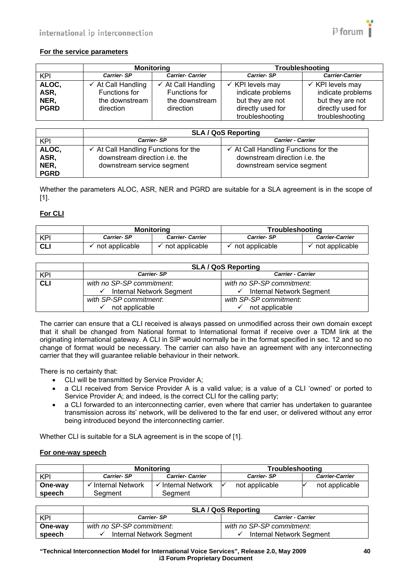

#### **For the service parameters**

|             |                               | <b>Monitoring</b>             |                             | Troubleshooting             |
|-------------|-------------------------------|-------------------------------|-----------------------------|-----------------------------|
| KPI         | <b>Carrier-SP</b>             | <b>Carrier- Carrier</b>       | <b>Carrier-SP</b>           | <b>Carrier-Carrier</b>      |
| ALOC,       | $\checkmark$ At Call Handling | $\checkmark$ At Call Handling | $\checkmark$ KPI levels may | $\checkmark$ KPI levels may |
| ASR,        | Functions for                 | Functions for                 | indicate problems           | indicate problems           |
| NER,        | the downstream                | the downstream                | but they are not            | but they are not            |
| <b>PGRD</b> | direction                     | direction                     | directly used for           | directly used for           |
|             |                               |                               | troubleshooting             | troubleshooting             |

|                                      | <b>SLA / QoS Reporting</b>                                                                                     |                                                                                                                |  |
|--------------------------------------|----------------------------------------------------------------------------------------------------------------|----------------------------------------------------------------------------------------------------------------|--|
| KPI                                  | <b>Carrier-SP</b>                                                                                              | <b>Carrier - Carrier</b>                                                                                       |  |
| ALOC,<br>ASR,<br>NER,<br><b>PGRD</b> | $\checkmark$ At Call Handling Functions for the<br>downstream direction i.e. the<br>downstream service segment | $\checkmark$ At Call Handling Functions for the<br>downstream direction i.e. the<br>downstream service segment |  |

Whether the parameters ALOC, ASR, NER and PGRD are suitable for a SLA agreement is in the scope of [\[1\].](#page-8-2)

#### **For CLI**

|            | Monitorina        |                         | <b>Troubleshooting</b> |                        |
|------------|-------------------|-------------------------|------------------------|------------------------|
| <b>KPI</b> | <b>Carrier-SP</b> | <b>Carrier- Carrier</b> | <b>Carrier-SP</b>      | <b>Carrier-Carrier</b> |
| <b>CLI</b> | not applicable    | not applicable          | not applicable         | not applicable         |

|            | <b>SLA / QoS Reporting</b> |                                       |  |
|------------|----------------------------|---------------------------------------|--|
| KPI        | <b>Carrier-SP</b>          | <b>Carrier - Carrier</b>              |  |
| <b>CLI</b> | with no SP-SP commitment.  | with no SP-SP commitment.             |  |
|            | Internal Network Segment   | $\checkmark$ Internal Network Segment |  |
|            | with SP-SP commitment.     | with SP-SP commitment.                |  |
|            | not applicable             | not applicable                        |  |

The carrier can ensure that a CLI received is always passed on unmodified across their own domain except that it shall be changed from National format to International format if receive over a TDM link at the originating international gateway. A CLI in SIP would normally be in the format specified in sec. 12 and so no change of format would be necessary. The carrier can also have an agreement with any interconnecting carrier that they will guarantee reliable behaviour in their network.

There is no certainty that:

- CLI will be transmitted by Service Provider A;
- a CLI received from Service Provider A is a valid value; is a value of a CLI 'owned' or ported to Service Provider A; and indeed, is the correct CLI for the calling party;
- a CLI forwarded to an interconnecting carrier, even where that carrier has undertaken to guarantee transmission across its' network, will be delivered to the far end user, or delivered without any error being introduced beyond the interconnecting carrier.

Whether CLI is suitable for a SLA agreement is in the scope of [\[1\].](#page-8-2)

#### **For one-way speech**

|         |                   | <b>Monitoring</b>       | <b>Troubleshooting</b> |                        |
|---------|-------------------|-------------------------|------------------------|------------------------|
| KPI     | <b>Carrier-SP</b> | <b>Carrier- Carrier</b> | <b>Carrier-SP</b>      | <b>Carrier-Carrier</b> |
| One-way | Thternal Network  | Internal Network        | not applicable         | not applicable         |
| speech  | Seament           | Seament                 |                        |                        |

|         | <b>SLA / QoS Reporting</b>                    |                           |  |
|---------|-----------------------------------------------|---------------------------|--|
| KPI     | <b>Carrier-SP</b><br><b>Carrier - Carrier</b> |                           |  |
| One-way | with no SP-SP commitment.                     | with no SP-SP commitment. |  |
| speech  | Internal Network Segment                      | Internal Network Segment  |  |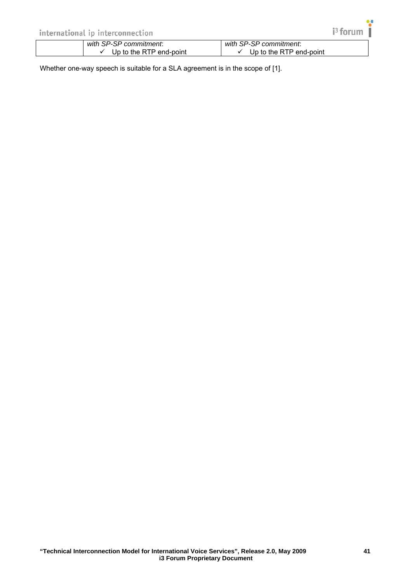Whether one-way speech is suitable for a SLA agreement is in the scope of [\[1\].](#page-8-2)

 $i<sup>3</sup>$  forum |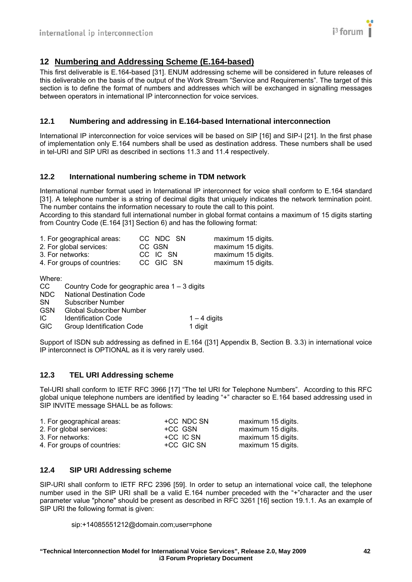

# <span id="page-41-1"></span><span id="page-41-0"></span>**12 Numbering and Addressing Scheme (E.164-based)**

This first deliverable is E.164-based [\[31\]](#page-8-32). ENUM addressing scheme will be considered in future releases of this deliverable on the basis of the output of the Work Stream "Service and Requirements". The target of this section is to define the format of numbers and addresses which will be exchanged in signalling messages between operators in international IP interconnection for voice services.

#### <span id="page-41-2"></span>**12.1 Numbering and addressing in E.164-based International interconnection**

International IP interconnection for voice services will be based on SIP [\[16\]](#page-8-16) and SIP-I [\[21\].](#page-8-21) In the first phase of implementation only E.164 numbers shall be used as destination address. These numbers shall be used in tel-URI and SIP URI as described in sections 11.3 and 11.4 respectively.

#### <span id="page-41-3"></span>**12.2 International numbering scheme in TDM network**

International number format used in International IP interconnect for voice shall conform to E.164 standard [\[31\]](#page-8-32). A telephone number is a string of decimal digits that uniquely indicates the network termination point. The number contains the information necessary to route the call to this point.

According to this standard full international number in global format contains a maximum of 15 digits starting from Country Code (E.164 [\[31\]](#page-8-32) Section 6) and has the following format:

| 1. For geographical areas:  | CC NDC SN | maximum 15 digits. |
|-----------------------------|-----------|--------------------|
| 2. For global services:     | CC GSN    | maximum 15 digits. |
| 3. For networks:            | CC IC SN  | maximum 15 digits. |
| 4. For groups of countries: | CC GIC SN | maximum 15 digits. |

Where:

| CC.        | Country Code for geographic area 1 – 3 digits |                |
|------------|-----------------------------------------------|----------------|
| NDC.       | <b>National Destination Code</b>              |                |
| <b>SN</b>  | Subscriber Number                             |                |
| <b>GSN</b> | <b>Global Subscriber Number</b>               |                |
| IC.        | <b>Identification Code</b>                    | $1 - 4$ digits |
| <b>GIC</b> | Group Identification Code                     | 1 digit        |
|            |                                               |                |

Support of ISDN sub addressing as defined in E.164 [\(\[31\]](#page-8-32) Appendix B, Section B. 3.3) in international voice IP interconnect is OPTIONAL as it is very rarely used.

#### <span id="page-41-4"></span>**12.3 TEL URI Addressing scheme**

Tel-URI shall conform to IETF RFC 3966 [\[17\]](#page-8-33) "The tel URI for Telephone Numbers". According to this RFC global unique telephone numbers are identified by leading "+" character so E.164 based addressing used in SIP INVITE message SHALL be as follows:

| 1. For geographical areas:  | +CC NDC SN | maximum 15 digits. |
|-----------------------------|------------|--------------------|
| 2. For global services:     | +CC GSN    | maximum 15 digits. |
| 3. For networks:            | +CC IC SN  | maximum 15 digits. |
| 4. For groups of countries: | +CC GIC SN | maximum 15 digits. |

#### <span id="page-41-5"></span>**12.4 SIP URI Addressing scheme**

SIP-URI shall conform to IETF RFC 2396 [\[59\]](#page-9-27). In order to setup an international voice call, the telephone number used in the SIP URI shall be a valid E.164 number preceded with the "+"character and the user parameter value "phone" should be present as described in RFC 3261 [\[16\]](#page-8-16) section 19.1.1. As an example of SIP URI the following format is given:

sip:+14085551212@domain.com;user=phone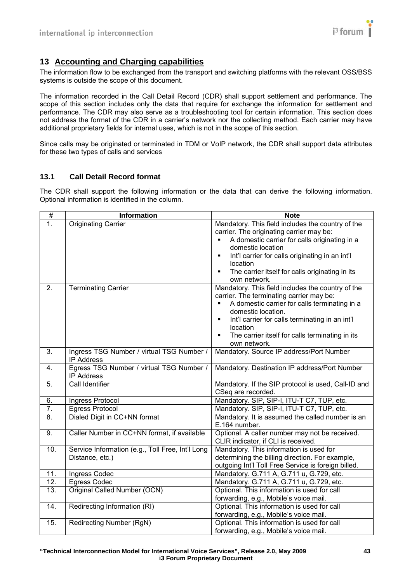

# <span id="page-42-1"></span><span id="page-42-0"></span>**13 Accounting and Charging capabilities**

The information flow to be exchanged from the transport and switching platforms with the relevant OSS/BSS systems is outside the scope of this document.

The information recorded in the Call Detail Record (CDR) shall support settlement and performance. The scope of this section includes only the data that require for exchange the information for settlement and performance. The CDR may also serve as a troubleshooting tool for certain information. This section does not address the format of the CDR in a carrier's network nor the collecting method. Each carrier may have additional proprietary fields for internal uses, which is not in the scope of this section.

Since calls may be originated or terminated in TDM or VoIP network, the CDR shall support data attributes for these two types of calls and services

#### <span id="page-42-2"></span>**13.1 Call Detail Record format**

The CDR shall support the following information or the data that can derive the following information. Optional information is identified in the column.

| $\#$             | <b>Information</b>                               | <b>Note</b>                                                       |
|------------------|--------------------------------------------------|-------------------------------------------------------------------|
| 1.               | Originating Carrier                              | Mandatory. This field includes the country of the                 |
|                  |                                                  | carrier. The originating carrier may be:                          |
|                  |                                                  | A domestic carrier for calls originating in a                     |
|                  |                                                  | domestic location                                                 |
|                  |                                                  | Int'l carrier for calls originating in an int'l<br>$\blacksquare$ |
|                  |                                                  | location                                                          |
|                  |                                                  | The carrier itself for calls originating in its<br>٠              |
| $\overline{2}$ . | <b>Terminating Carrier</b>                       | own network.<br>Mandatory. This field includes the country of the |
|                  |                                                  | carrier. The terminating carrier may be:                          |
|                  |                                                  | A domestic carrier for calls terminating in a<br>$\blacksquare$   |
|                  |                                                  | domestic location.                                                |
|                  |                                                  | Int'l carrier for calls terminating in an int'l<br>$\blacksquare$ |
|                  |                                                  | location                                                          |
|                  |                                                  | The carrier itself for calls terminating in its<br>$\blacksquare$ |
|                  |                                                  | own network.                                                      |
| 3.               | Ingress TSG Number / virtual TSG Number /        | Mandatory. Source IP address/Port Number                          |
|                  | <b>IP Address</b>                                |                                                                   |
| 4.               | Egress TSG Number / virtual TSG Number /         | Mandatory. Destination IP address/Port Number                     |
|                  | <b>IP Address</b><br>Call Identifier             |                                                                   |
| 5.               |                                                  | Mandatory. If the SIP protocol is used, Call-ID and               |
| 6.               | Ingress Protocol                                 | CSeq are recorded.<br>Mandatory. SIP, SIP-I, ITU-T C7, TUP, etc.  |
| 7.               | <b>Egress Protocol</b>                           | Mandatory. SIP, SIP-I, ITU-T C7, TUP, etc.                        |
| 8.               | Dialed Digit in CC+NN format                     | Mandatory. It is assumed the called number is an                  |
|                  |                                                  | E.164 number.                                                     |
| 9.               | Caller Number in CC+NN format, if available      | Optional. A caller number may not be received.                    |
|                  |                                                  | CLIR indicator, if CLI is received.                               |
| 10.              | Service Information (e.g., Toll Free, Int'l Long | Mandatory. This information is used for                           |
|                  | Distance, etc.)                                  | determining the billing direction. For example,                   |
|                  |                                                  | outgoing Int'l Toll Free Service is foreign billed.               |
| 11.              | Ingress Codec                                    | Mandatory. G.711 A, G.711 u, G.729, etc.                          |
| 12.              | <b>Egress Codec</b>                              | Mandatory. G.711 A, G.711 u, G.729, etc.                          |
| 13.              | Original Called Number (OCN)                     | Optional. This information is used for call                       |
|                  |                                                  | forwarding, e.g., Mobile's voice mail.                            |
| 14.              | Redirecting Information (RI)                     | Optional. This information is used for call                       |
|                  |                                                  | forwarding, e.g., Mobile's voice mail.                            |
| 15.              | Redirecting Number (RgN)                         | Optional. This information is used for call                       |
|                  |                                                  | forwarding, e.g., Mobile's voice mail.                            |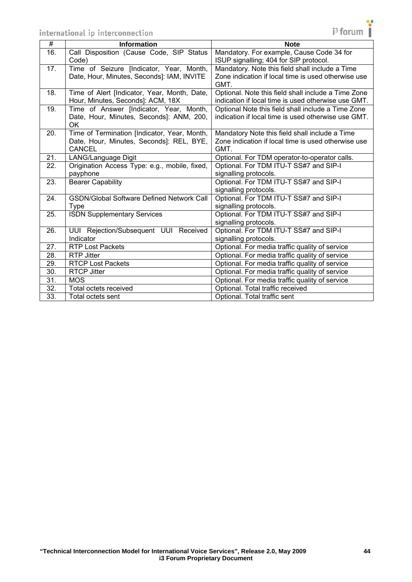OK



Optional. For media traffic quality of service

27. RTP Lost Packets **Container Containers** Optional. For media traffic quality of service 28. RTP Jitter Optional. For media traffic quality of service<br>29. RTCP Lost Packets Optional. For media traffic quality of service

30. RTCP Jitter COLLECT CONTROLLECT CONTROLLECT CONTROLLECT CONTROLLECT CONTROLLECT CONTROLLECT CONTROLLECT CO 31. | MOS | Optional. For media traffic quality of service

32. | Total octets received **The Contract of Contract Total traffic received** 33. Total octets sent **The Contract of Contract Contract Contract Contract Contract Contract Contract Contract Contract Contract Contract Contract Contract Contract Contract Contract Contract Contract Contract Contract Con**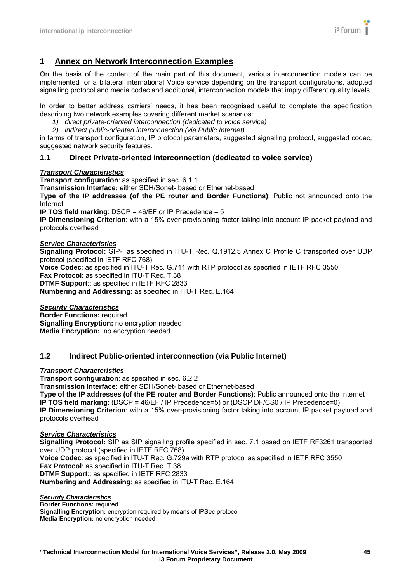# <span id="page-44-1"></span><span id="page-44-0"></span>**1 Annex on Network Interconnection Examples**

On the basis of the content of the main part of this document, various interconnection models can be implemented for a bilateral international Voice service depending on the transport configurations, adopted signalling protocol and media codec and additional, interconnection models that imply different quality levels.

In order to better address carriers' needs, it has been recognised useful to complete the specification describing two network examples covering different market scenarios:

- *1) direct private-oriented interconnection (dedicated to voice service)*
- *2) indirect public-oriented interconnection (via Public Internet)*

in terms of transport configuration, IP protocol parameters, suggested signalling protocol, suggested codec, suggested network security features.

#### <span id="page-44-2"></span>**1.1 Direct Private-oriented interconnection (dedicated to voice service)**

#### *Transport Characteristics*

**Transport configuration**: as specified in sec. 6.1.1

**Transmission Interface:** either SDH/Sonet- based or Ethernet-based

**Type of the IP addresses (of the PE router and Border Functions)**: Public not announced onto the Internet

**IP TOS field marking**: DSCP = 46/EF or IP Precedence = 5

**IP Dimensioning Criterion**: with a 15% over-provisioning factor taking into account IP packet payload and protocols overhead

#### *Service Characteristics*

**Signalling Protocol:** SIP-I as specified in ITU-T Rec. Q.1912.5 Annex C Profile C transported over UDP protocol (specified in IETF RFC 768) **Voice Codec**: as specified in ITU-T Rec. G.711 with RTP protocol as specified in IETF RFC 3550 **Fax Protocol**: as specified in ITU-T Rec. T.38 **DTMF Support**:: as specified in IETF RFC 2833 **Numbering and Addressing**: as specified in ITU-T Rec. E.164

#### *Security Characteristics*

**Border Functions: required Signalling Encryption:** no encryption needed **Media Encryption:** no encryption needed

#### <span id="page-44-3"></span>**1.2 Indirect Public-oriented interconnection (via Public Internet)**

#### *Transport Characteristics*

**Transport configuration**: as specified in sec. 6.2.2

**Transmission Interface:** either SDH/Sonet- based or Ethernet-based

**Type of the IP addresses (of the PE router and Border Functions)**: Public announced onto the Internet **IP TOS field marking**: (DSCP = 46/EF / IP Precedence=5) or (DSCP DF/CS0 / IP Precedence=0) **IP Dimensioning Criterion**: with a 15% over-provisioning factor taking into account IP packet payload and protocols overhead

#### *Service Characteristics*

**Signalling Protocol:** SIP as SIP signalling profile specified in sec. 7.1 based on IETF RF3261 transported over UDP protocol (specified in IETF RFC 768) **Voice Codec**: as specified in ITU-T Rec. G.729a with RTP protocol as specified in IETF RFC 3550 **Fax Protocol**: as specified in ITU-T Rec. T.38 **DTMF Support**:: as specified in IETF RFC 2833 **Numbering and Addressing**: as specified in ITU-T Rec. E.164

#### *Security Characteristics*

**Border Functions: required Signalling Encryption:** encryption required by means of IPSec protocol **Media Encryption:** no encryption needed.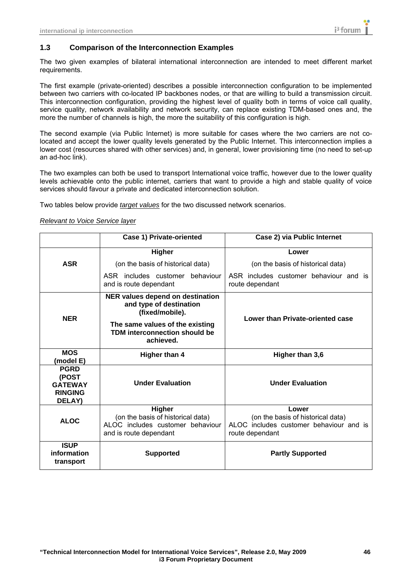#### <span id="page-45-1"></span><span id="page-45-0"></span>**1.3 Comparison of the Interconnection Examples**

The two given examples of bilateral international interconnection are intended to meet different market requirements.

The first example (private-oriented) describes a possible interconnection configuration to be implemented between two carriers with co-located IP backbones nodes, or that are willing to build a transmission circuit. This interconnection configuration, providing the highest level of quality both in terms of voice call quality, service quality, network availability and network security, can replace existing TDM-based ones and, the more the number of channels is high, the more the suitability of this configuration is high.

The second example (via Public Internet) is more suitable for cases where the two carriers are not colocated and accept the lower quality levels generated by the Public Internet. This interconnection implies a lower cost (resources shared with other services) and, in general, lower provisioning time (no need to set-up an ad-hoc link).

The two examples can both be used to transport International voice traffic, however due to the lower quality levels achievable onto the public internet, carriers that want to provide a high and stable quality of voice services should favour a private and dedicated interconnection solution.

Two tables below provide *target values* for the two discussed network scenarios.

#### *Relevant to Voice Service layer*

|                                                                    | <b>Case 1) Private-oriented</b>                                                                                  | Case 2) via Public Internet                                                                              |
|--------------------------------------------------------------------|------------------------------------------------------------------------------------------------------------------|----------------------------------------------------------------------------------------------------------|
|                                                                    | <b>Higher</b>                                                                                                    | Lower                                                                                                    |
| <b>ASR</b>                                                         | (on the basis of historical data)                                                                                | (on the basis of historical data)                                                                        |
|                                                                    | ASR includes customer behaviour<br>and is route dependant                                                        | ASR includes customer behaviour and is<br>route dependant                                                |
| <b>NER</b>                                                         | NER values depend on destination<br>and type of destination<br>(fixed/mobile).                                   | Lower than Private-oriented case                                                                         |
|                                                                    | The same values of the existing<br><b>TDM interconnection should be</b><br>achieved.                             |                                                                                                          |
| <b>MOS</b><br>(model E)                                            | Higher than 4                                                                                                    | Higher than 3,6                                                                                          |
| <b>PGRD</b><br>(POST<br><b>GATEWAY</b><br><b>RINGING</b><br>DELAY) | <b>Under Evaluation</b>                                                                                          | <b>Under Evaluation</b>                                                                                  |
| <b>ALOC</b>                                                        | <b>Higher</b><br>(on the basis of historical data)<br>ALOC includes customer behaviour<br>and is route dependant | Lower<br>(on the basis of historical data)<br>ALOC includes customer behaviour and is<br>route dependant |
| <b>ISUP</b><br>information<br>transport                            | <b>Supported</b>                                                                                                 | <b>Partly Supported</b>                                                                                  |